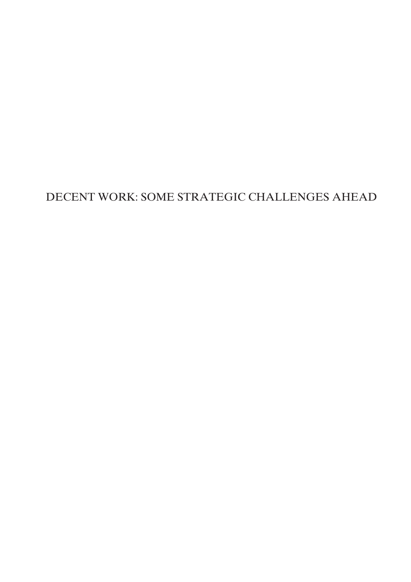# DECENT WORK: SOME STRATEGIC CHALLENGES AHEAD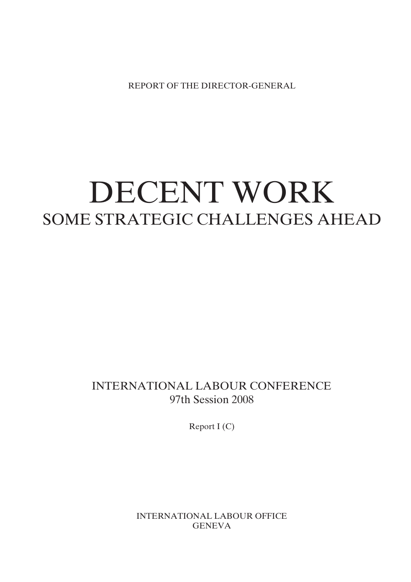REPORT OF THE DIRECTOR-GENERAL

# DECENT WORK SOME STRATEGIC CHALLENGES AHEAD

INTERNATIONAL LABOUR CONFERENCE 97th Session 2008

Report I (C)

INTERNATIONAL LABOUR OFFICE **GENEVA**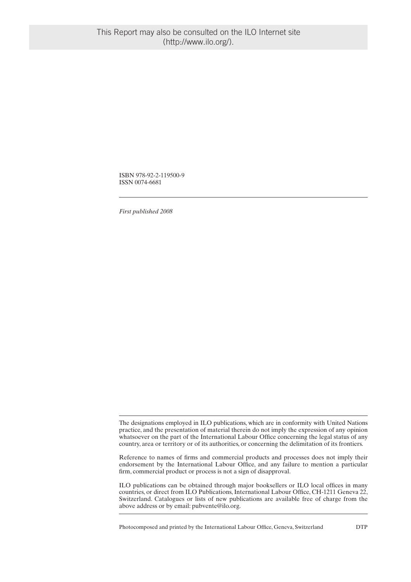ISBN 978-92-2-119500-9 ISSN 0074-6681

*First published 2008*

The designations employed in ILO publications, which are in conformity with United Nations practice, and the presentation of material therein do not imply the expression of any opinion whatsoever on the part of the International Labour Office concerning the legal status of any country, area or territory or of its authorities, or concerning the delimitation of its frontiers.

Reference to names of firms and commercial products and processes does not imply their endorsement by the International Labour Office, and any failure to mention a particular firm, commercial product or process is not a sign of disapproval.

ILO publications can be obtained through major booksellers or ILO local offices in many countries, or direct from ILO Publications, International Labour Office, CH-1211 Geneva 22, Switzerland. Catalogues or lists of new publications are available free of charge from the above address or by email: pubvente@ilo.org.

Photocomposed and printed by the International Labour Office, Geneva, Switzerland DTP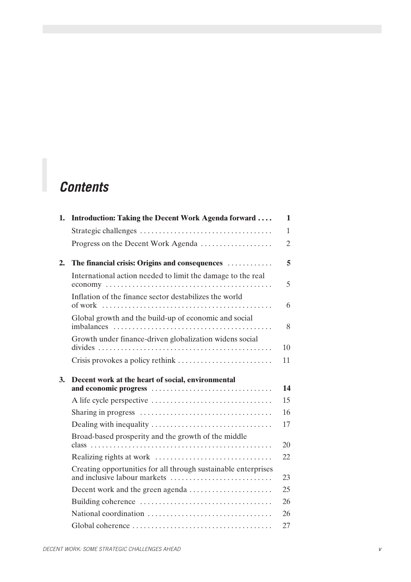# *Contents*

| 1. | Introduction: Taking the Decent Work Agenda forward                                            | $\mathbf{1}$   |
|----|------------------------------------------------------------------------------------------------|----------------|
|    |                                                                                                | $\mathbf{1}$   |
|    | Progress on the Decent Work Agenda                                                             | $\overline{2}$ |
| 2. | The financial crisis: Origins and consequences                                                 | 5              |
|    | International action needed to limit the damage to the real                                    | 5              |
|    | Inflation of the finance sector destabilizes the world                                         | 6              |
|    | Global growth and the build-up of economic and social                                          | 8              |
|    | Growth under finance-driven globalization widens social                                        | 10             |
|    |                                                                                                | 11             |
| 3. | Decent work at the heart of social, environmental                                              |                |
|    |                                                                                                | 14             |
|    |                                                                                                | 15             |
|    |                                                                                                | 16             |
|    |                                                                                                | 17             |
|    | Broad-based prosperity and the growth of the middle                                            |                |
|    |                                                                                                | 20             |
|    |                                                                                                | 22             |
|    | Creating opportunities for all through sustainable enterprises<br>and inclusive labour markets | 23             |
|    | Decent work and the green agenda                                                               | 25             |
|    |                                                                                                | 26             |
|    |                                                                                                | 26             |
|    |                                                                                                | 27             |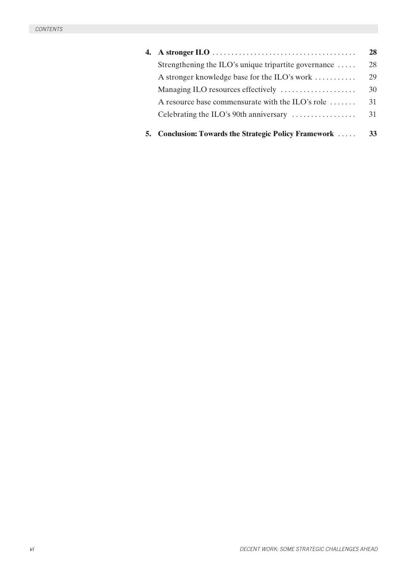|                                                              | 28 |
|--------------------------------------------------------------|----|
| Strengthening the ILO's unique tripartite governance $\dots$ | 28 |
| A stronger knowledge base for the ILO's work                 | 29 |
| Managing ILO resources effectively                           | 30 |
| A resource base commensurate with the ILO's role             | 31 |
| Celebrating the ILO's 90th anniversary                       | 31 |
| 5. Conclusion: Towards the Strategic Policy Framework        | 33 |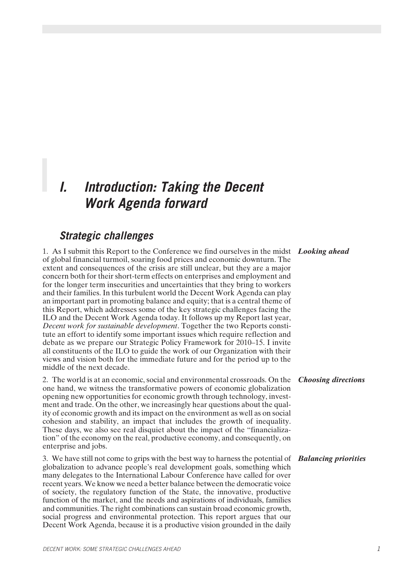# *I. Introduction: Taking the Decent Work Agenda forward*

### *Strategic challenges*

1. As I submit this Report to the Conference we find ourselves in the midst *Looking ahead* of global financial turmoil, soaring food prices and economic downturn. The extent and consequences of the crisis are still unclear, but they are a major concern both for their short-term effects on enterprises and employment and for the longer term insecurities and uncertainties that they bring to workers and their families. In this turbulent world the Decent Work Agenda can play an important part in promoting balance and equity; that is a central theme of this Report, which addresses some of the key strategic challenges facing the ILO and the Decent Work Agenda today. It follows up my Report last year, *Decent work for sustainable development*. Together the two Reports constitute an effort to identify some important issues which require reflection and debate as we prepare our Strategic Policy Framework for 2010–15. I invite all constituents of the ILO to guide the work of our Organization with their views and vision both for the immediate future and for the period up to the middle of the next decade.

### 2. The world is at an economic, social and environmental crossroads. On the *Choosing directions* one hand, we witness the transformative powers of economic globalization opening new opportunities for economic growth through technology, investment and trade. On the other, we increasingly hear questions about the quality of economic growth and its impact on the environment as well as on social cohesion and stability, an impact that includes the growth of inequality. These days, we also see real disquiet about the impact of the "financialization" of the economy on the real, productive economy, and consequently, on enterprise and jobs.

3. We have still not come to grips with the best way to harness the potential of *Balancing priorities* globalization to advance people's real development goals, something which many delegates to the International Labour Conference have called for over recent years. We know we need a better balance between the democratic voice of society, the regulatory function of the State, the innovative, productive function of the market, and the needs and aspirations of individuals, families and communities. The right combinations can sustain broad economic growth, social progress and environmental protection. This report argues that our Decent Work Agenda, because it is a productive vision grounded in the daily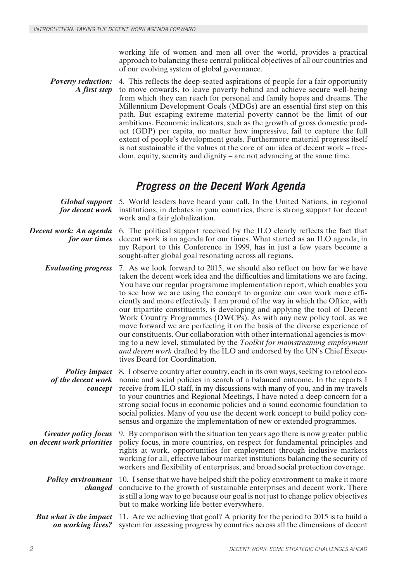working life of women and men all over the world, provides a practical approach to balancing these central political objectives of all our countries and of our evolving system of global governance.

*Poverty reduction: A first step* 4. This reflects the deep-seated aspirations of people for a fair opportunity to move onwards, to leave poverty behind and achieve secure well-being from which they can reach for personal and family hopes and dreams. The Millennium Development Goals (MDGs) are an essential first step on this path. But escaping extreme material poverty cannot be the limit of our ambitions. Economic indicators, such as the growth of gross domestic product (GDP) per capita, no matter how impressive, fail to capture the full extent of people's development goals. Furthermore material progress itself is not sustainable if the values at the core of our idea of decent work – freedom, equity, security and dignity – are not advancing at the same time.

### *Progress on the Decent Work Agenda*

|                                                          | <b>Global support</b> 5. World leaders have heard your call. In the United Nations, in regional<br>for decent work institutions, in debates in your countries, there is strong support for decent<br>work and a fair globalization.                                                                                                                                                                                                                                                                                                                                                                                                                                                                                                                                                                                                                                                                               |
|----------------------------------------------------------|-------------------------------------------------------------------------------------------------------------------------------------------------------------------------------------------------------------------------------------------------------------------------------------------------------------------------------------------------------------------------------------------------------------------------------------------------------------------------------------------------------------------------------------------------------------------------------------------------------------------------------------------------------------------------------------------------------------------------------------------------------------------------------------------------------------------------------------------------------------------------------------------------------------------|
| Decent work: An agenda<br>for our times                  | 6. The political support received by the ILO clearly reflects the fact that<br>decent work is an agenda for our times. What started as an ILO agenda, in<br>my Report to this Conference in 1999, has in just a few years become a<br>sought-after global goal resonating across all regions.                                                                                                                                                                                                                                                                                                                                                                                                                                                                                                                                                                                                                     |
| <b>Evaluating progress</b>                               | 7. As we look forward to 2015, we should also reflect on how far we have<br>taken the decent work idea and the difficulties and limitations we are facing.<br>You have our regular programme implementation report, which enables you<br>to see how we are using the concept to organize our own work more effi-<br>ciently and more effectively. I am proud of the way in which the Office, with<br>our tripartite constituents, is developing and applying the tool of Decent<br>Work Country Programmes (DWCPs). As with any new policy tool, as we<br>move forward we are perfecting it on the basis of the diverse experience of<br>our constituents. Our collaboration with other international agencies is mov-<br>ing to a new level, stimulated by the Toolkit for mainstreaming employment<br>and decent work drafted by the ILO and endorsed by the UN's Chief Execu-<br>tives Board for Coordination. |
| <b>Policy impact</b><br>of the decent work<br>concept    | 8. I observe country after country, each in its own ways, seeking to retool eco-<br>nomic and social policies in search of a balanced outcome. In the reports I<br>receive from ILO staff, in my discussions with many of you, and in my travels<br>to your countries and Regional Meetings, I have noted a deep concern for a<br>strong social focus in economic policies and a sound economic foundation to<br>social policies. Many of you use the decent work concept to build policy con-<br>sensus and organize the implementation of new or extended programmes.                                                                                                                                                                                                                                                                                                                                           |
| <b>Greater policy focus</b><br>on decent work priorities | 9. By comparison with the situation ten years ago there is now greater public<br>policy focus, in more countries, on respect for fundamental principles and<br>rights at work, opportunities for employment through inclusive markets<br>working for all, effective labour market institutions balancing the security of<br>workers and flexibility of enterprises, and broad social protection coverage.                                                                                                                                                                                                                                                                                                                                                                                                                                                                                                         |
| <b>Policy environment</b><br>changed                     | 10. I sense that we have helped shift the policy environment to make it more<br>conducive to the growth of sustainable enterprises and decent work. There<br>is still a long way to go because our goal is not just to change policy objectives<br>but to make working life better everywhere.                                                                                                                                                                                                                                                                                                                                                                                                                                                                                                                                                                                                                    |
| <b>But what is the impact</b><br>on working lives?       | 11. Are we achieving that goal? A priority for the period to 2015 is to build a<br>system for assessing progress by countries across all the dimensions of decent                                                                                                                                                                                                                                                                                                                                                                                                                                                                                                                                                                                                                                                                                                                                                 |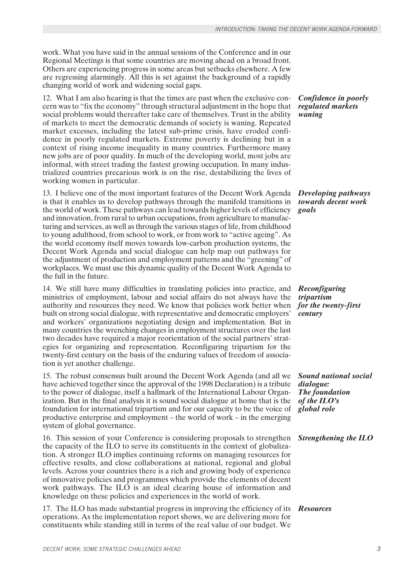work. What you have said in the annual sessions of the Conference and in our Regional Meetings is that some countries are moving ahead on a broad front. Others are experiencing progress in some areas but setbacks elsewhere. A few are regressing alarmingly. All this is set against the background of a rapidly changing world of work and widening social gaps.

12. What I am also hearing is that the times are past when the exclusive concern was to "fix the economy" through structural adjustment in the hope that social problems would thereafter take care of themselves. Trust in the ability of markets to meet the democratic demands of society is waning. Repeated market excesses, including the latest sub-prime crisis, have eroded confidence in poorly regulated markets. Extreme poverty is declining but in a context of rising income inequality in many countries. Furthermore many new jobs are of poor quality. In much of the developing world, most jobs are informal, with street trading the fastest growing occupation. In many industrialized countries precarious work is on the rise, destabilizing the lives of working women in particular.

13. I believe one of the most important features of the Decent Work Agenda is that it enables us to develop pathways through the manifold transitions in the world of work. These pathways can lead towards higher levels of efficiency and innovation, from rural to urban occupations, from agriculture to manufacturing and services, as well as through the various stages of life, from childhood to young adulthood, from school to work, or from work to "active ageing". As the world economy itself moves towards low-carbon production systems, the Decent Work Agenda and social dialogue can help map out pathways for the adjustment of production and employment patterns and the "greening" of workplaces. We must use this dynamic quality of the Decent Work Agenda to the full in the future.

14. We still have many difficulties in translating policies into practice, and ministries of employment, labour and social affairs do not always have the authority and resources they need. We know that policies work better when built on strong social dialogue, with representative and democratic employers' and workers' organizations negotiating design and implementation. But in many countries the wrenching changes in employment structures over the last two decades have required a major reorientation of the social partners' strategies for organizing and representation. Reconfiguring tripartism for the twenty-first century on the basis of the enduring values of freedom of association is yet another challenge.

15. The robust consensus built around the Decent Work Agenda (and all we have achieved together since the approval of the 1998 Declaration) is a tribute to the power of dialogue, itself a hallmark of the International Labour Organization. But in the final analysis it is sound social dialogue at home that is the foundation for international tripartism and for our capacity to be the voice of productive enterprise and employment – the world of work – in the emerging system of global governance.

16. This session of your Conference is considering proposals to strengthen *Strengthening the ILO* the capacity of the ILO to serve its constituents in the context of globalization. A stronger ILO implies continuing reforms on managing resources for effective results, and close collaborations at national, regional and global levels. Across your countries there is a rich and growing body of experience of innovative policies and programmes which provide the elements of decent work pathways. The ILO is an ideal clearing house of information and knowledge on these policies and experiences in the world of work.

17. The ILO has made substantial progress in improving the efficiency of its *Resources* operations. As the implementation report shows, we are delivering more for constituents while standing still in terms of the real value of our budget. We

*Confidence in poorly regulated markets waning*

*Developing pathways towards decent work goals*

*Reconfiguring tripartism for the twenty-first century* 

*Sound national social dialogue: The foundation of the ILO's global role*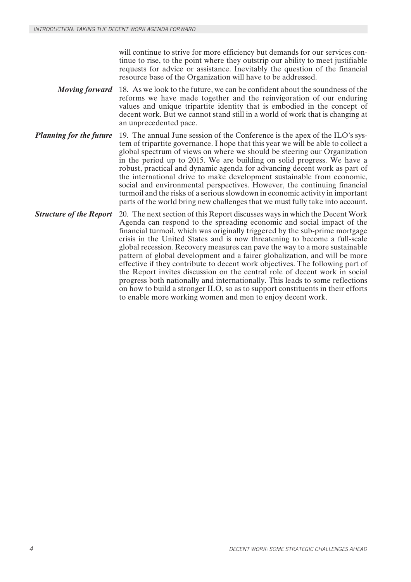will continue to strive for more efficiency but demands for our services continue to rise, to the point where they outstrip our ability to meet justifiable requests for advice or assistance. Inevitably the question of the financial resource base of the Organization will have to be addressed.

- *Moving forward* 18. As we look to the future, we can be confident about the soundness of the reforms we have made together and the reinvigoration of our enduring values and unique tripartite identity that is embodied in the concept of decent work. But we cannot stand still in a world of work that is changing at an unprecedented pace.
- *Planning for the future* 19. The annual June session of the Conference is the apex of the ILO's system of tripartite governance. I hope that this year we will be able to collect a global spectrum of views on where we should be steering our Organization in the period up to 2015. We are building on solid progress. We have a robust, practical and dynamic agenda for advancing decent work as part of the international drive to make development sustainable from economic, social and environmental perspectives. However, the continuing financial turmoil and the risks of a serious slowdown in economic activity in important parts of the world bring new challenges that we must fully take into account.
- *Structure of the Report* 20. The next section of this Report discusses ways in which the Decent Work Agenda can respond to the spreading economic and social impact of the financial turmoil, which was originally triggered by the sub-prime mortgage crisis in the United States and is now threatening to become a full-scale global recession. Recovery measures can pave the way to a more sustainable pattern of global development and a fairer globalization, and will be more effective if they contribute to decent work objectives. The following part of the Report invites discussion on the central role of decent work in social progress both nationally and internationally. This leads to some reflections on how to build a stronger ILO, so as to support constituents in their efforts to enable more working women and men to enjoy decent work.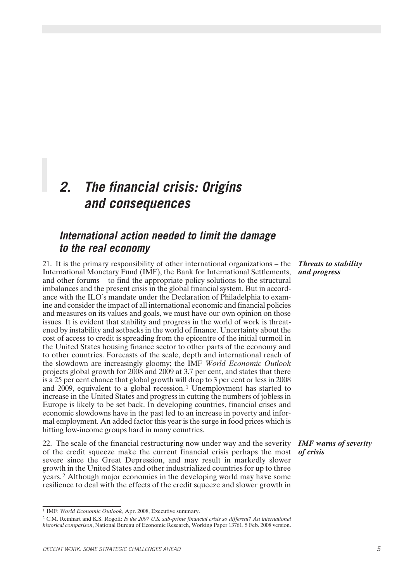# *2. The financial crisis: Origins and consequences*

### *International action needed to limit the damage to the real economy*

21. It is the primary responsibility of other international organizations – the International Monetary Fund (IMF), the Bank for International Settlements, and other forums – to find the appropriate policy solutions to the structural imbalances and the present crisis in the global financial system. But in accordance with the ILO's mandate under the Declaration of Philadelphia to examine and consider the impact of all international economic and financial policies and measures on its values and goals, we must have our own opinion on those issues. It is evident that stability and progress in the world of work is threatened by instability and setbacks in the world of finance. Uncertainty about the cost of access to credit is spreading from the epicentre of the initial turmoil in the United States housing finance sector to other parts of the economy and to other countries. Forecasts of the scale, depth and international reach of the slowdown are increasingly gloomy; the IMF *World Economic Outlook* projects global growth for 2008 and 2009 at 3.7 per cent, and states that there is a 25 per cent chance that global growth will drop to 3 per cent or less in 2008 and 2009, equivalent to a global recession. 1 Unemployment has started to increase in the United States and progress in cutting the numbers of jobless in Europe is likely to be set back. In developing countries, financial crises and economic slowdowns have in the past led to an increase in poverty and informal employment. An added factor this year is the surge in food prices which is hitting low-income groups hard in many countries.

22. The scale of the financial restructuring now under way and the severity of the credit squeeze make the current financial crisis perhaps the most severe since the Great Depression, and may result in markedly slower growth in the United States and other industrialized countries for up to three years. 2 Although major economies in the developing world may have some resilience to deal with the effects of the credit squeeze and slower growth in

### *Threats to stability and progress*

*IMF warns of severity of crisis*

<sup>2</sup> C.M. Reinhart and K.S. Rogoff: *Is the 2007 U.S. sub-prime financial crisis so different? An international historical comparison*, National Bureau of Economic Research, Working Paper 13761, 5 Feb. 2008 version.

<sup>1</sup> IMF: *World Economic Outlook*, Apr. 2008, Executive summary.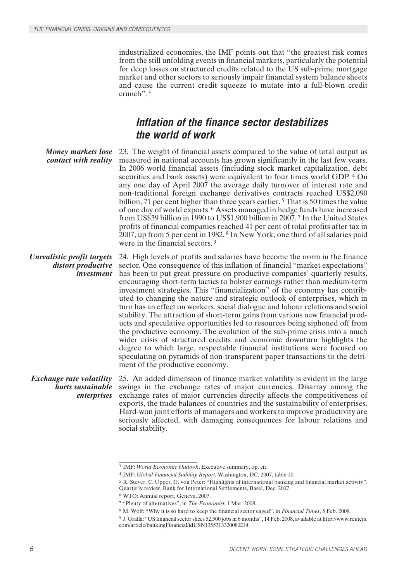industrialized economies, the IMF points out that "the greatest risk comes from the still unfolding events in financial markets, particularly the potential for deep losses on structured credits related to the US sub-prime mortgage market and other sectors to seriously impair financial system balance sheets and cause the current credit squeeze to mutate into a full-blown credit crunch". <sup>3</sup>

### *Inflation of the finance sector destabilizes the world of work*

*Money markets lose contact with reality* 23. The weight of financial assets compared to the value of total output as measured in national accounts has grown significantly in the last few years. In 2006 world financial assets (including stock market capitalization, debt securities and bank assets) were equivalent to four times world GDP. 4 On any one day of April 2007 the average daily turnover of interest rate and non-traditional foreign exchange derivatives contracts reached US\$2,090 billion, 71 per cent higher than three years earlier.<sup>5</sup> That is 50 times the value of one day of world exports. 6 Assets managed in hedge funds have increased from US\$39 billion in 1990 to US\$1,900 billion in 2007. 7 In the United States profits of financial companies reached 41 per cent of total profits after tax in 2007, up from 5 per cent in 1982. 8 In New York, one third of all salaries paid were in the financial sectors. <sup>9</sup>

*Unrealistic profit targets distort productive investment* 24. High levels of profits and salaries have become the norm in the finance sector. One consequence of this inflation of financial "market expectations" has been to put great pressure on productive companies' quarterly results, encouraging short-term tactics to bolster earnings rather than medium-term investment strategies. This "financialization" of the economy has contributed to changing the nature and strategic outlook of enterprises, which in turn has an effect on workers, social dialogue and labour relations and social stability. The attraction of short-term gains from various new financial products and speculative opportunities led to resources being siphoned off from the productive economy. The evolution of the sub-prime crisis into a much wider crisis of structured credits and economic downturn highlights the degree to which large, respectable financial institutions were focused on speculating on pyramids of non-transparent paper transactions to the detriment of the productive economy.

*Exchange rate volatility hurts sustainable enterprises* 25. An added dimension of finance market volatility is evident in the large swings in the exchange rates of major currencies. Disarray among the exchange rates of major currencies directly affects the competitiveness of exports, the trade balances of countries and the sustainability of enterprises. Hard-won joint efforts of managers and workers to improve productivity are seriously affected, with damaging consequences for labour relations and social stability.

<sup>3</sup> IMF: *World Economic Outlook*, Executive summary, op. cit.

<sup>4</sup> IMF: *Global Financial Stability Report*, Washington, DC, 2007, table 10.

<sup>5</sup> R. Stever, C. Upper, G. von Peter: "Highlights of international banking and financial market activity",

Quarterly review, Bank for International Settlements, Basel, Dec. 2007.

<sup>6</sup> WTO: Annual report, Geneva, 2007.

<sup>7</sup> "Plenty of alternatives", in *The Economist*, 1 Mar. 2008.

<sup>8</sup> M. Wolf: "Why it is so hard to keep the financial sector caged", in *Financial Times*, 5 Feb. 2008.

<sup>9</sup> J. Gralla: "US financial sector slices 52,500 jobs in 6 months", 14 Feb. 2008, available at http://www.reuters. com/article/bankingFinancial/idUSN1355313320080214.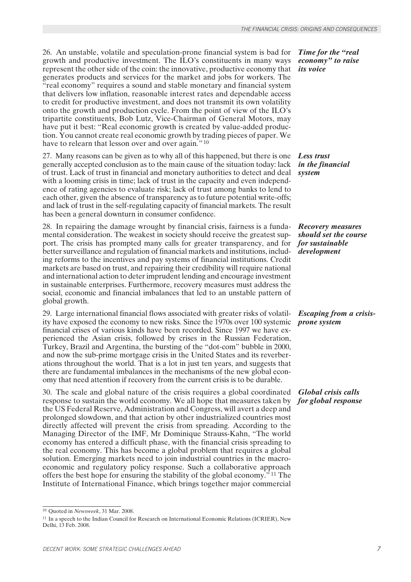26. An unstable, volatile and speculation-prone financial system is bad for growth and productive investment. The ILO's constituents in many ways represent the other side of the coin: the innovative, productive economy that generates products and services for the market and jobs for workers. The "real economy" requires a sound and stable monetary and financial system that delivers low inflation, reasonable interest rates and dependable access to credit for productive investment, and does not transmit its own volatility onto the growth and production cycle. From the point of view of the ILO's tripartite constituents, Bob Lutz, Vice-Chairman of General Motors, may have put it best: "Real economic growth is created by value-added production. You cannot create real economic growth by trading pieces of paper. We have to relearn that lesson over and over again*.*"10

*Less trust* 27. Many reasons can be given as to why all of this happened, but there is one generally accepted conclusion as to the main cause of the situation today: lack of trust. Lack of trust in financial and monetary authorities to detect and deal with a looming crisis in time; lack of trust in the capacity and even independence of rating agencies to evaluate risk; lack of trust among banks to lend to each other, given the absence of transparency as to future potential write-offs; and lack of trust in the self-regulating capacity of financial markets. The result has been a general downturn in consumer confidence.

28. In repairing the damage wrought by financial crisis, fairness is a fundamental consideration. The weakest in society should receive the greatest support. The crisis has prompted many calls for greater transparency, and for better surveillance and regulation of financial markets and institutions, including reforms to the incentives and pay systems of financial institutions. Credit markets are based on trust, and repairing their credibility will require national and international action to deter imprudent lending and encourage investment in sustainable enterprises. Furthermore, recovery measures must address the social, economic and financial imbalances that led to an unstable pattern of global growth.

29. Large international financial flows associated with greater risks of volatility have exposed the economy to new risks. Since the 1970s over 100 systemic financial crises of various kinds have been recorded. Since 1997 we have experienced the Asian crisis, followed by crises in the Russian Federation, Turkey, Brazil and Argentina, the bursting of the "dot-com" bubble in 2000, and now the sub-prime mortgage crisis in the United States and its reverberations throughout the world. That is a lot in just ten years, and suggests that there are fundamental imbalances in the mechanisms of the new global economy that need attention if recovery from the current crisis is to be durable.

*for global response* response to sustain the world economy. We all hope that measures taken by 30. The scale and global nature of the crisis requires a global coordinated the US Federal Reserve, Administration and Congress, will avert a deep and prolonged slowdown, and that action by other industrialized countries most directly affected will prevent the crisis from spreading. According to the Managing Director of the IMF, Mr Dominique Strauss-Kahn, "The world economy has entered a difficult phase, with the financial crisis spreading to the real economy. This has become a global problem that requires a global solution. Emerging markets need to join industrial countries in the macroeconomic and regulatory policy response. Such a collaborative approach offers the best hope for ensuring the stability of the global economy." 11 The Institute of International Finance, which brings together major commercial

*Time for the "real economy" to raise its voice*

*in the financial system*

*Recovery measures should set the course for sustainable development*

### *Escaping from a crisisprone system*

*Global crisis calls*

<sup>10</sup> Quoted in *Newsweek*, 31 Mar. 2008.

<sup>&</sup>lt;sup>11</sup> In a speech to the Indian Council for Research on International Economic Relations (ICRIER), New Delhi, 13 Feb. 2008.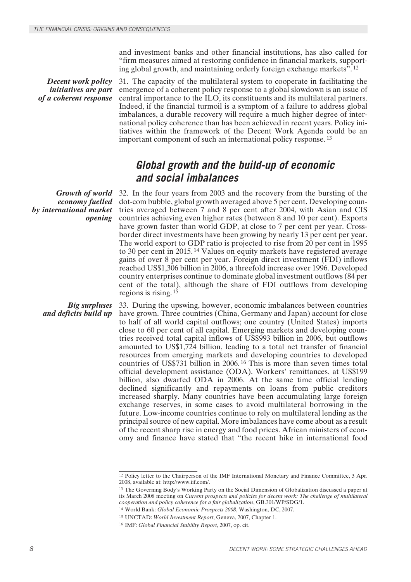and investment banks and other financial institutions, has also called for "firm measures aimed at restoring confidence in financial markets, supporting global growth, and maintaining orderly foreign exchange markets". <sup>12</sup>

*Decent work policy initiatives are part of a coherent response* 31. The capacity of the multilateral system to cooperate in facilitating the emergence of a coherent policy response to a global slowdown is an issue of central importance to the ILO, its constituents and its multilateral partners. Indeed, if the financial turmoil is a symptom of a failure to address global imbalances, a durable recovery will require a much higher degree of international policy coherence than has been achieved in recent years. Policy initiatives within the framework of the Decent Work Agenda could be an important component of such an international policy response. <sup>13</sup>

### *Global growth and the build-up of economic and social imbalances*

*Growth of world economy fuelled by international market opening*

32. In the four years from 2003 and the recovery from the bursting of the dot-com bubble, global growth averaged above 5 per cent. Developing countries averaged between 7 and 8 per cent after 2004, with Asian and CIS countries achieving even higher rates (between 8 and 10 per cent). Exports have grown faster than world GDP, at close to 7 per cent per year. Crossborder direct investments have been growing by nearly 13 per cent per year. The world export to GDP ratio is projected to rise from 20 per cent in 1995 to 30 per cent in 2015. 14 Values on equity markets have registered average gains of over 8 per cent per year. Foreign direct investment (FDI) inflows reached US\$1,306 billion in 2006, a threefold increase over 1996. Developed country enterprises continue to dominate global investment outflows (84 per cent of the total), although the share of FDI outflows from developing regions is rising. <sup>15</sup>

*Big surpluses and deficits build up* 33. During the upswing, however, economic imbalances between countries have grown. Three countries (China, Germany and Japan) account for close to half of all world capital outflows; one country (United States) imports close to 60 per cent of all capital. Emerging markets and developing countries received total capital inflows of US\$993 billion in 2006, but outflows amounted to US\$1,724 billion, leading to a total net transfer of financial resources from emerging markets and developing countries to developed countries of US\$731 billion in 2006. 16 This is more than seven times total official development assistance (ODA). Workers' remittances, at US\$199 billion, also dwarfed ODA in 2006. At the same time official lending declined significantly and repayments on loans from public creditors increased sharply. Many countries have been accumulating large foreign exchange reserves, in some cases to avoid multilateral borrowing in the future. Low-income countries continue to rely on multilateral lending as the principal source of new capital. More imbalances have come about as a result of the recent sharp rise in energy and food prices. African ministers of economy and finance have stated that "the recent hike in international food

<sup>&</sup>lt;sup>12</sup> Policy letter to the Chairperson of the IMF International Monetary and Finance Committee, 3 Apr. 2008, available at: http://www.iif.com/.

<sup>&</sup>lt;sup>13</sup> The Governing Body's Working Party on the Social Dimension of Globalization discussed a paper at its March 2008 meeting on *Current prospects and policies for decent work: The challenge of multilateral cooperation and policy coherence for a fair globalization*, GB.301/WP/SDG/1.

<sup>14</sup> World Bank: *Global Economic Prospects 2008*, Washington, DC, 2007.

<sup>15</sup> UNCTAD: *World Investment Report*, Geneva, 2007, Chapter 1.

<sup>16</sup> IMF: *Global Financial Stability Report*, 2007, op. cit.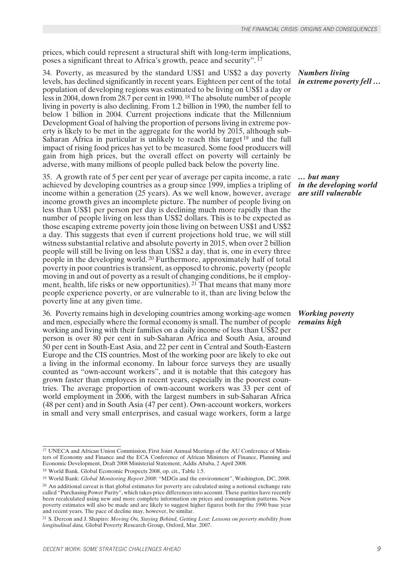prices, which could represent a structural shift with long-term implications, poses a significant threat to Africa's growth, peace and security". <sup>17</sup>

34. Poverty, as measured by the standard US\$1 and US\$2 a day poverty levels, has declined significantly in recent years. Eighteen per cent of the total population of developing regions was estimated to be living on US\$1 a day or less in 2004, down from 28.7 per cent in 1990. 18 The absolute number of people living in poverty is also declining. From 1.2 billion in 1990, the number fell to below 1 billion in 2004. Current projections indicate that the Millennium Development Goal of halving the proportion of persons living in extreme poverty is likely to be met in the aggregate for the world by 2015, although sub-Saharan Africa in particular is unlikely to reach this target<sup>19</sup> and the full impact of rising food prices has yet to be measured. Some food producers will gain from high prices, but the overall effect on poverty will certainly be adverse, with many millions of people pulled back below the poverty line.

35. A growth rate of 5 per cent per year of average per capita income, a rate achieved by developing countries as a group since 1999, implies a tripling of income within a generation (25 years). As we well know, however, average income growth gives an incomplete picture. The number of people living on less than US\$1 per person per day is declining much more rapidly than the number of people living on less than US\$2 dollars. This is to be expected as those escaping extreme poverty join those living on between US\$1 and US\$2 a day. This suggests that even if current projections hold true, we will still witness substantial relative and absolute poverty in 2015, when over 2 billion people will still be living on less than US\$2 a day, that is, one in every three people in the developing world. 20 Furthermore, approximately half of total poverty in poor countries is transient, as opposed to chronic, poverty (people moving in and out of poverty as a result of changing conditions, be it employment, health, life risks or new opportunities). 21 That means that many more people experience poverty, or are vulnerable to it, than are living below the poverty line at any given time.

36. Poverty remains high in developing countries among working-age women and men, especially where the formal economy is small. The number of people working and living with their families on a daily income of less than US\$2 per person is over 80 per cent in sub-Saharan Africa and South Asia, around 50 per cent in South-East Asia, and 22 per cent in Central and South-Eastern Europe and the CIS countries. Most of the working poor are likely to eke out a living in the informal economy. In labour force surveys they are usually counted as "own-account workers", and it is notable that this category has grown faster than employees in recent years, especially in the poorest countries. The average proportion of own-account workers was 33 per cent of world employment in 2006, with the largest numbers in sub-Saharan Africa (48 per cent) and in South Asia (47 per cent). Own-account workers, workers in small and very small enterprises, and casual wage workers, form a large

*Numbers living in extreme poverty fell …*

*… but many in the developing world are still vulnerable*

### *Working poverty remains high*

<sup>&</sup>lt;sup>17</sup> UNECA and African Union Commission, First Joint Annual Meetings of the AU Conference of Ministers of Economy and Finance and the ECA Conference of African Ministers of Finance, Planning and Economic Development, Draft 2008 Ministerial Statement, Addis Ababa, 2 April 2008.

<sup>18</sup> World Bank. Global Economic Prospects 2008, op. cit., Table 1.5.

<sup>19</sup> World Bank: *Global Monitoring Report 2008*: "MDGs and the environment", Washington, DC, 2008. <sup>20</sup> An additional caveat is that global estimates for poverty are calculated using a notional exchange rate called "Purchasing Power Parity", which takes price differences into account. These parities have recently been recalculated using new and more complete information on prices and consumption patterns. New poverty estimates will also be made and are likely to suggest higher figures both for the 1990 base year and recent years. The pace of decline may, however, be similar.

<sup>21</sup> S. Dercon and J. Shapiro: *Moving On, Staying Behind, Getting Lost: Lessons on poverty mobility from longitudinal data,* Global Poverty Research Group, Oxford, Mar. 2007.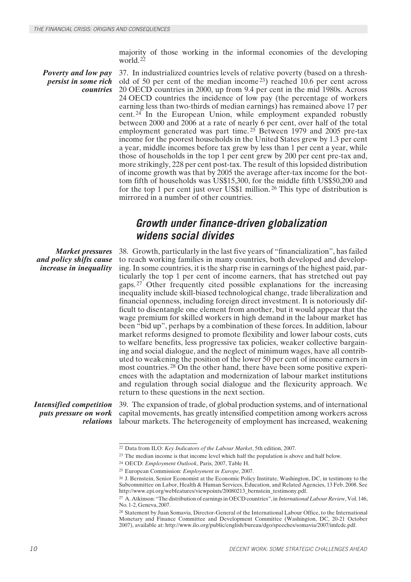majority of those working in the informal economies of the developing world. <sup>22</sup>

*Poverty and low pay persist in some rich countries* 37. In industrialized countries levels of relative poverty (based on a threshold of 50 per cent of the median income 23) reached 10.6 per cent across 20 OECD countries in 2000, up from 9.4 per cent in the mid 1980s. Across 24 OECD countries the incidence of low pay (the percentage of workers earning less than two-thirds of median earnings) has remained above 17 per cent. 24 In the European Union, while employment expanded robustly between 2000 and 2006 at a rate of nearly 6 per cent, over half of the total employment generated was part time.<sup>25</sup> Between 1979 and 2005 pre-tax income for the poorest households in the United States grew by 1.3 per cent a year, middle incomes before tax grew by less than 1 per cent a year, while those of households in the top 1 per cent grew by 200 per cent pre-tax and, more strikingly, 228 per cent post-tax. The result of this lopsided distribution of income growth was that by 2005 the average after-tax income for the bottom fifth of households was US\$15,300, for the middle fifth US\$50,200 and for the top 1 per cent just over US\$1 million. 26 This type of distribution is mirrored in a number of other countries.

### *Growth under finance-driven globalization widens social divides*

*Market pressures and policy shifts cause increase in inequality* 38. Growth, particularly in the last five years of "financialization", has failed to reach working families in many countries, both developed and developing. In some countries, it is the sharp rise in earnings of the highest paid, particularly the top 1 per cent of income earners, that has stretched out pay gaps. 27 Other frequently cited possible explanations for the increasing inequality include skill-biased technological change, trade liberalization and financial openness, including foreign direct investment. It is notoriously difficult to disentangle one element from another, but it would appear that the wage premium for skilled workers in high demand in the labour market has been "bid up", perhaps by a combination of these forces. In addition, labour market reforms designed to promote flexibility and lower labour costs, cuts to welfare benefits, less progressive tax policies, weaker collective bargaining and social dialogue, and the neglect of minimum wages, have all contributed to weakening the position of the lower 50 per cent of income earners in most countries. 28 On the other hand, there have been some positive experiences with the adaptation and modernization of labour market institutions and regulation through social dialogue and the flexicurity approach. We return to these questions in the next section.

*Intensified competition puts pressure on work*

*relations* labour markets. The heterogeneity of employment has increased, weakening 39. The expansion of trade, of global production systems, and of international capital movements, has greatly intensified competition among workers across

<sup>22</sup> Data from ILO: *Key Indicators of the Labour Market*, 5th edition, 2007.

<sup>23</sup> The median income is that income level which half the population is above and half below.

<sup>24</sup> OECD: *Employment Outlook*, Paris, 2007, Table H.

<sup>25</sup> European Commission: *Employment in Europe*, 2007.

<sup>26</sup> J. Bernstein, Senior Economist at the Economic Policy Institute, Washington, DC, in testimony to the Subcommittee on Labor, Health & Human Services, Education, and Related Agencies, 13 Feb. 2008. See http://www.epi.org/webfeatures/viewpoints/20080213\_bernstein\_testimony.pdf.

<sup>27</sup> A. Atkinson: "The distribution of earnings in OECD countries", in *International Labour Review*, Vol. 146, No. 1-2, Geneva, 2007.

<sup>28</sup> Statement by Juan Somavia, Director-General of the International Labour Office, to the International Monetary and Finance Committee and Development Committee (Washington, DC, 20-21 October 2007), available at: http://www.ilo.org/public/english/bureau/dgo/speeches/somavia/2007/imfcdc.pdf.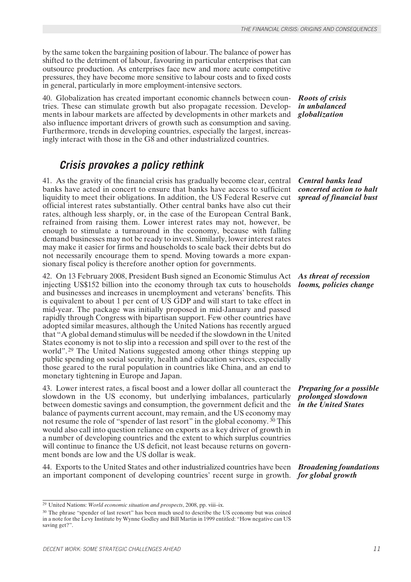by the same token the bargaining position of labour. The balance of power has shifted to the detriment of labour, favouring in particular enterprises that can outsource production. As enterprises face new and more acute competitive pressures, they have become more sensitive to labour costs and to fixed costs in general, particularly in more employment-intensive sectors.

40. Globalization has created important economic channels between countries. These can stimulate growth but also propagate recession. Developments in labour markets are affected by developments in other markets and also influence important drivers of growth such as consumption and saving. Furthermore, trends in developing countries, especially the largest, increasingly interact with those in the G8 and other industrialized countries.

### *Crisis provokes a policy rethink*

41. As the gravity of the financial crisis has gradually become clear, central banks have acted in concert to ensure that banks have access to sufficient liquidity to meet their obligations. In addition, the US Federal Reserve cut official interest rates substantially. Other central banks have also cut their rates, although less sharply, or, in the case of the European Central Bank, refrained from raising them. Lower interest rates may not, however, be enough to stimulate a turnaround in the economy, because with falling demand businesses may not be ready to invest. Similarly, lower interest rates may make it easier for firms and households to scale back their debts but do not necessarily encourage them to spend. Moving towards a more expansionary fiscal policy is therefore another option for governments.

42. On 13 February 2008, President Bush signed an Economic Stimulus Act injecting US\$152 billion into the economy through tax cuts to households and businesses and increases in unemployment and veterans' benefits. This is equivalent to about 1 per cent of US GDP and will start to take effect in mid-year. The package was initially proposed in mid-January and passed rapidly through Congress with bipartisan support. Few other countries have adopted similar measures, although the United Nations has recently argued that "A global demand stimulus will be needed if the slowdown in the United States economy is not to slip into a recession and spill over to the rest of the world".<sup>29</sup> The United Nations suggested among other things stepping up public spending on social security, health and education services, especially those geared to the rural population in countries like China, and an end to monetary tightening in Europe and Japan.

43. Lower interest rates, a fiscal boost and a lower dollar all counteract the slowdown in the US economy, but underlying imbalances, particularly between domestic savings and consumption, the government deficit and the balance of payments current account, may remain, and the US economy may not resume the role of "spender of last resort" in the global economy. 30 This would also call into question reliance on exports as a key driver of growth in a number of developing countries and the extent to which surplus countries will continue to finance the US deficit, not least because returns on government bonds are low and the US dollar is weak.

*Broadening foundations*  44. Exports to the United States and other industrialized countries have been *for global growth* an important component of developing countries' recent surge in growth.

*Roots of crisis in unbalanced globalization*

*Central banks lead concerted action to halt spread of financial bust*

*As threat of recession looms, policies change*

*Preparing for a possible prolonged slowdown in the United States*

<sup>29</sup> United Nations: *World economic situation and prospects*, 2008, pp. viii–ix.

<sup>&</sup>lt;sup>30</sup> The phrase "spender of last resort" has been much used to describe the US economy but was coined in a note for the Levy Institute by Wynne Godley and Bill Martin in 1999 entitled: "How negative can US saving get?".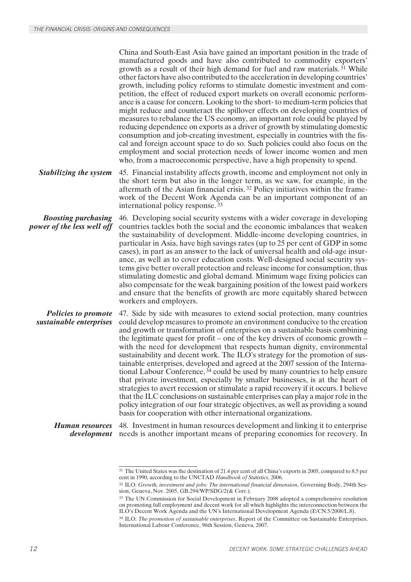China and South-East Asia have gained an important position in the trade of manufactured goods and have also contributed to commodity exporters' growth as a result of their high demand for fuel and raw materials. 31 While other factors have also contributed to the acceleration in developing countries' growth, including policy reforms to stimulate domestic investment and competition, the effect of reduced export markets on overall economic performance is a cause for concern. Looking to the short- to medium-term policies that might reduce and counteract the spillover effects on developing countries of measures to rebalance the US economy, an important role could be played by reducing dependence on exports as a driver of growth by stimulating domestic consumption and job-creating investment, especially in countries with the fiscal and foreign account space to do so. Such policies could also focus on the employment and social protection needs of lower income women and men who, from a macroeconomic perspective, have a high propensity to spend.

*Stabilizing the system* 45. Financial instability affects growth, income and employment not only in the short term but also in the longer term, as we saw, for example, in the aftermath of the Asian financial crisis. 32 Policy initiatives within the framework of the Decent Work Agenda can be an important component of an international policy response. <sup>33</sup>

*Boosting purchasing power of the less well off* 46. Developing social security systems with a wider coverage in developing countries tackles both the social and the economic imbalances that weaken the sustainability of development. Middle-income developing countries, in particular in Asia, have high savings rates (up to 25 per cent of GDP in some cases), in part as an answer to the lack of universal health and old-age insurance, as well as to cover education costs. Well-designed social security systems give better overall protection and release income for consumption, thus stimulating domestic and global demand. Minimum wage fixing policies can also compensate for the weak bargaining position of the lowest paid workers and ensure that the benefits of growth are more equitably shared between workers and employers.

*Policies to promote sustainable enterprises* 47. Side by side with measures to extend social protection, many countries could develop measures to promote an environment conducive to the creation and growth or transformation of enterprises on a sustainable basis combining the legitimate quest for profit – one of the key drivers of economic growth – with the need for development that respects human dignity, environmental sustainability and decent work. The ILO's strategy for the promotion of sustainable enterprises, developed and agreed at the 2007 session of the International Labour Conference,  $34$  could be used by many countries to help ensure that private investment, especially by smaller businesses, is at the heart of strategies to avert recession or stimulate a rapid recovery if it occurs. I believe that the ILC conclusions on sustainable enterprises can play a major role in the policy integration of our four strategic objectives, as well as providing a sound basis for cooperation with other international organizations.

*Human resources development* needs is another important means of preparing economies for recovery. In 48. Investment in human resources development and linking it to enterprise

<sup>31</sup> The United States was the destination of 21.4 per cent of all China's exports in 2005, compared to 8.5 per cent in 1990, according to the UNCTAD *Handbook of Statistics*, 2006.

<sup>32</sup> ILO: *Growth, investment and jobs: The international financial dimension*, Governing Body, 294th Session, Geneva, Nov. 2005, GB.294/WP/SDG/2(& Corr.).

<sup>33</sup> The UN Commission for Social Development in February 2008 adopted a comprehensive resolution on promoting full employment and decent work for all which highlights the interconnection between the ILO's Decent Work Agenda and the UN's International Development Agenda (E/CN.5/2008/L.8).

<sup>34</sup> ILO: *The promotion of sustainable enterprises*, Report of the Committee on Sustainable Enterprises, International Labour Conference, 96th Session, Geneva, 2007.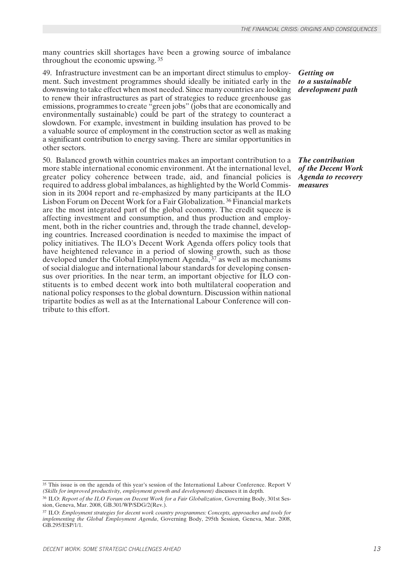many countries skill shortages have been a growing source of imbalance throughout the economic upswing. <sup>35</sup>

49. Infrastructure investment can be an important direct stimulus to employment. Such investment programmes should ideally be initiated early in the downswing to take effect when most needed. Since many countries are looking to renew their infrastructures as part of strategies to reduce greenhouse gas emissions, programmes to create "green jobs" (jobs that are economically and environmentally sustainable) could be part of the strategy to counteract a slowdown. For example, investment in building insulation has proved to be a valuable source of employment in the construction sector as well as making a significant contribution to energy saving. There are similar opportunities in other sectors.

50. Balanced growth within countries makes an important contribution to a more stable international economic environment. At the international level, greater policy coherence between trade, aid, and financial policies is required to address global imbalances, as highlighted by the World Commission in its 2004 report and re-emphasized by many participants at the ILO Lisbon Forum on Decent Work for a Fair Globalization. 36 Financial markets are the most integrated part of the global economy. The credit squeeze is affecting investment and consumption, and thus production and employment, both in the richer countries and, through the trade channel, developing countries. Increased coordination is needed to maximise the impact of policy initiatives. The ILO's Decent Work Agenda offers policy tools that have heightened relevance in a period of slowing growth, such as those developed under the Global Employment Agenda, 37 as well as mechanisms of social dialogue and international labour standards for developing consensus over priorities. In the near term, an important objective for ILO constituents is to embed decent work into both multilateral cooperation and national policy responses to the global downturn. Discussion within national tripartite bodies as well as at the International Labour Conference will contribute to this effort.

*Getting on to a sustainable development path*

*The contribution of the Decent Work Agenda to recovery measures*

<sup>35</sup> This issue is on the agenda of this year's session of the International Labour Conference. Report V *(Skills for improved productivity, employment growth and development)* discusses it in depth.

<sup>36</sup> ILO: *Report of the ILO Forum on Decent Work for a Fair Globalization*, Governing Body, 301st Session, Geneva, Mar. 2008, GB.301/WP/SDG/2(Rev.).

<sup>37</sup> ILO: *Employment strategies for decent work country programmes: Concepts, approaches and tools for implementing the Global Employment Agenda*, Governing Body, 295th Session, Geneva, Mar. 2008, GB.295/ESP/1/1.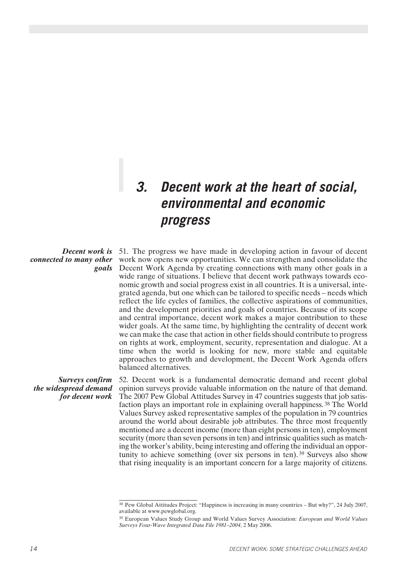# *3. Decent work at the heart of social, environmental and economic progress*

### *connected to many other goals*

*Decent work is* 51. The progress we have made in developing action in favour of decent work now opens new opportunities. We can strengthen and consolidate the Decent Work Agenda by creating connections with many other goals in a wide range of situations. I believe that decent work pathways towards economic growth and social progress exist in all countries. It is a universal, integrated agenda, but one which can be tailored to specific needs – needs which reflect the life cycles of families, the collective aspirations of communities, and the development priorities and goals of countries. Because of its scope and central importance, decent work makes a major contribution to these wider goals. At the same time, by highlighting the centrality of decent work we can make the case that action in other fields should contribute to progress on rights at work, employment, security, representation and dialogue. At a time when the world is looking for new, more stable and equitable approaches to growth and development, the Decent Work Agenda offers balanced alternatives.

*Surveys confirm the widespread demand for decent work*

52. Decent work is a fundamental democratic demand and recent global opinion surveys provide valuable information on the nature of that demand. The 2007 Pew Global Attitudes Survey in 47 countries suggests that job satisfaction plays an important role in explaining overall happiness. 38 The World Values Survey asked representative samples of the population in 79 countries around the world about desirable job attributes. The three most frequently mentioned are a decent income (more than eight persons in ten), employment security (more than seven persons in ten) and intrinsic qualities such as matching the worker's ability, being interesting and offering the individual an opportunity to achieve something (over six persons in ten).<sup>39</sup> Surveys also show that rising inequality is an important concern for a large majority of citizens.

<sup>38</sup> Pew Global Attitudes Project: "Happiness is increasing in many countries – But why?", 24 July 2007, available at www.pewglobal.org.

<sup>39</sup> European Values Study Group and World Values Survey Association: *European and World Values Surveys Four-Wave Integrated Data File 1981–2004*, 2 May 2006.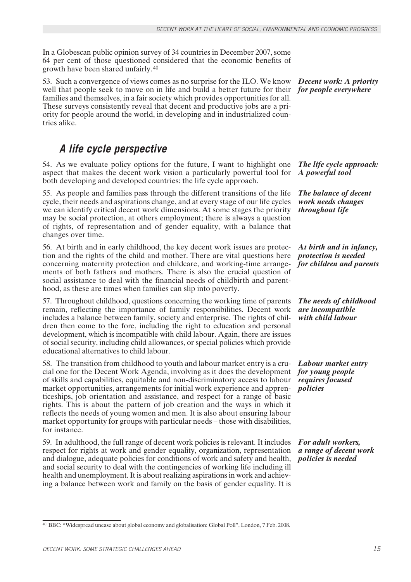In a Globescan public opinion survey of 34 countries in December 2007, some 64 per cent of those questioned considered that the economic benefits of growth have been shared unfairly. <sup>40</sup>

well that people seek to move on in life and build a better future for their *for people everywhere* 53. Such a convergence of views comes as no surprise for the ILO. We know families and themselves, in a fair society which provides opportunities for all. These surveys consistently reveal that decent and productive jobs are a priority for people around the world, in developing and in industrialized countries alike.

### *A life cycle perspective*

54. As we evaluate policy options for the future, I want to highlight one aspect that makes the decent work vision a particularly powerful tool for both developing and developed countries: the life cycle approach.

55. As people and families pass through the different transitions of the life cycle, their needs and aspirations change, and at every stage of our life cycles we can identify critical decent work dimensions. At some stages the priority may be social protection, at others employment; there is always a question of rights, of representation and of gender equality, with a balance that changes over time.

56. At birth and in early childhood, the key decent work issues are protection and the rights of the child and mother. There are vital questions here concerning maternity protection and childcare, and working-time arrangements of both fathers and mothers. There is also the crucial question of social assistance to deal with the financial needs of childbirth and parenthood, as these are times when families can slip into poverty.

57. Throughout childhood, questions concerning the working time of parents remain, reflecting the importance of family responsibilities. Decent work includes a balance between family, society and enterprise. The rights of children then come to the fore, including the right to education and personal development, which is incompatible with child labour. Again, there are issues of social security, including child allowances, or special policies which provide educational alternatives to child labour.

58. The transition from childhood to youth and labour market entry is a crucial one for the Decent Work Agenda, involving as it does the development of skills and capabilities, equitable and non-discriminatory access to labour market opportunities, arrangements for initial work experience and apprenticeships, job orientation and assistance, and respect for a range of basic rights. This is about the pattern of job creation and the ways in which it reflects the needs of young women and men. It is also about ensuring labour market opportunity for groups with particular needs – those with disabilities, for instance.

59. In adulthood, the full range of decent work policies is relevant. It includes respect for rights at work and gender equality, organization, representation and dialogue, adequate policies for conditions of work and safety and health, and social security to deal with the contingencies of working life including ill health and unemployment. It is about realizing aspirations in work and achieving a balance between work and family on the basis of gender equality. It is

*Decent work: A priority* 

*The life cycle approach: A powerful tool*

*The balance of decent work needs changes throughout life*

*At birth and in infancy, protection is needed for children and parents*

*The needs of childhood are incompatible with child labour*

*Labour market entry for young people requires focused policies*

*For adult workers, a range of decent work policies is needed*

<sup>40</sup> BBC: "Widespread unease about global economy and globalisation: Global Poll", London, 7 Feb. 2008.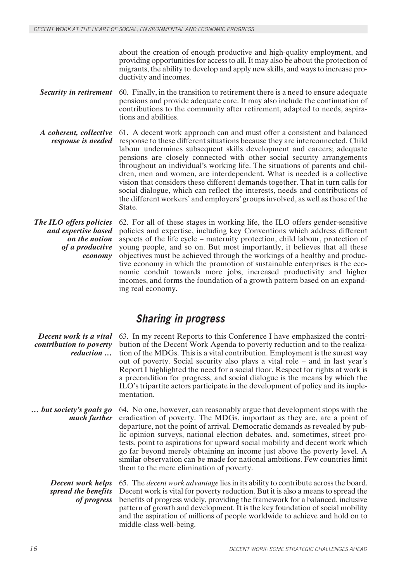about the creation of enough productive and high-quality employment, and providing opportunities for access to all. It may also be about the protection of migrants, the ability to develop and apply new skills, and ways to increase productivity and incomes.

- *Security in retirement* 60. Finally, in the transition to retirement there is a need to ensure adequate pensions and provide adequate care. It may also include the continuation of contributions to the community after retirement, adapted to needs, aspirations and abilities.
- *A coherent, collective response is needed* 61. A decent work approach can and must offer a consistent and balanced response to these different situations because they are interconnected. Child labour undermines subsequent skills development and careers; adequate pensions are closely connected with other social security arrangements throughout an individual's working life. The situations of parents and children, men and women, are interdependent. What is needed is a collective vision that considers these different demands together. That in turn calls for social dialogue, which can reflect the interests, needs and contributions of the different workers' and employers' groups involved, as well as those of the State.

*The ILO offers policies and expertise based on the notion of a productive economy* 62. For all of these stages in working life, the ILO offers gender-sensitive policies and expertise, including key Conventions which address different aspects of the life cycle – maternity protection, child labour, protection of young people, and so on. But most importantly, it believes that all these objectives must be achieved through the workings of a healthy and productive economy in which the promotion of sustainable enterprises is the economic conduit towards more jobs, increased productivity and higher incomes, and forms the foundation of a growth pattern based on an expanding real economy.

### *Sharing in progress*

| Decent work is a vital<br>contribution to poverty<br>reduction | 63. In my recent Reports to this Conference I have emphasized the contri-<br>bution of the Decent Work Agenda to poverty reduction and to the realiza-<br>tion of the MDGs. This is a vital contribution. Employment is the surest way<br>out of poverty. Social security also plays a vital role – and in last year's<br>Report I highlighted the need for a social floor. Respect for rights at work is<br>a precondition for progress, and social dialogue is the means by which the<br>ILO's tripartite actors participate in the development of policy and its imple-<br>mentation.                  |
|----------------------------------------------------------------|-----------------------------------------------------------------------------------------------------------------------------------------------------------------------------------------------------------------------------------------------------------------------------------------------------------------------------------------------------------------------------------------------------------------------------------------------------------------------------------------------------------------------------------------------------------------------------------------------------------|
| but society's goals go<br>much further                         | 64. No one, however, can reasonably argue that development stops with the<br>eradication of poverty. The MDGs, important as they are, are a point of<br>departure, not the point of arrival. Democratic demands as revealed by pub-<br>lic opinion surveys, national election debates, and, sometimes, street pro-<br>tests, point to aspirations for upward social mobility and decent work which<br>go far beyond merely obtaining an income just above the poverty level. A<br>similar observation can be made for national ambitions. Few countries limit<br>them to the mere elimination of poverty. |
| <b>Decent work helps</b><br>spread the benefits<br>of progress | 65. The <i>decent work advantage</i> lies in its ability to contribute across the board.<br>Decent work is vital for poverty reduction. But it is also a means to spread the<br>benefits of progress widely, providing the framework for a balanced, inclusive<br>pattern of growth and development. It is the key foundation of social mobility<br>and the aspiration of millions of people worldwide to achieve and hold on to<br>middle-class well-being.                                                                                                                                              |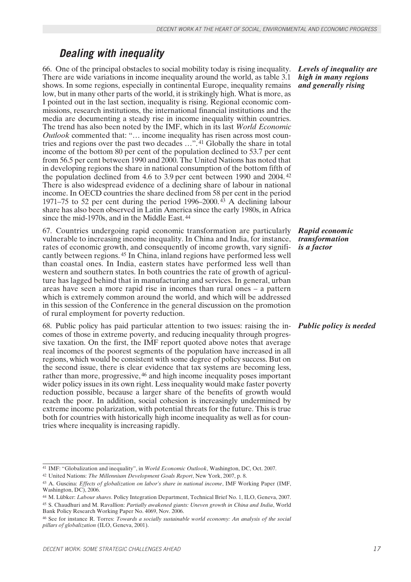### *Dealing with inequality*

66. One of the principal obstacles to social mobility today is rising inequality. There are wide variations in income inequality around the world, as table 3.1 shows. In some regions, especially in continental Europe, inequality remains low, but in many other parts of the world, it is strikingly high. What is more, as I pointed out in the last section, inequality is rising. Regional economic commissions, research institutions, the international financial institutions and the media are documenting a steady rise in income inequality within countries. The trend has also been noted by the IMF, which in its last *World Economic Outlook* commented that: "… income inequality has risen across most countries and regions over the past two decades …". 41 Globally the share in total income of the bottom 80 per cent of the population declined to 53.7 per cent from 56.5 per cent between 1990 and 2000. The United Nations has noted that in developing regions the share in national consumption of the bottom fifth of the population declined from 4.6 to 3.9 per cent between 1990 and 2004. <sup>42</sup> There is also widespread evidence of a declining share of labour in national income. In OECD countries the share declined from 58 per cent in the period 1971–75 to 52 per cent during the period 1996–2000. 43 A declining labour share has also been observed in Latin America since the early 1980s, in Africa since the mid-1970s, and in the Middle East. <sup>44</sup>

67. Countries undergoing rapid economic transformation are particularly vulnerable to increasing income inequality. In China and India, for instance, rates of economic growth, and consequently of income growth, vary significantly between regions. 45 In China, inland regions have performed less well than coastal ones. In India, eastern states have performed less well than western and southern states. In both countries the rate of growth of agriculture has lagged behind that in manufacturing and services. In general, urban areas have seen a more rapid rise in incomes than rural ones – a pattern which is extremely common around the world, and which will be addressed in this session of the Conference in the general discussion on the promotion of rural employment for poverty reduction.

68. Public policy has paid particular attention to two issues: raising the in- *Public policy is needed* comes of those in extreme poverty, and reducing inequality through progressive taxation. On the first, the IMF report quoted above notes that average real incomes of the poorest segments of the population have increased in all regions, which would be consistent with some degree of policy success. But on the second issue, there is clear evidence that tax systems are becoming less, rather than more, progressive, 46 and high income inequality poses important wider policy issues in its own right. Less inequality would make faster poverty reduction possible, because a larger share of the benefits of growth would reach the poor. In addition, social cohesion is increasingly undermined by extreme income polarization, with potential threats for the future. This is true both for countries with historically high income inequality as well as for countries where inequality is increasing rapidly.

<sup>45</sup> S. Chaudhuri and M. Ravallion: *Partially awakened giants: Uneven growth in China and India*, World Bank Policy Research Working Paper No. 4069, Nov. 2006.

*Levels of inequality are high in many regions and generally rising*

### *Rapid economic transformation is a factor*

<sup>41</sup> IMF: "Globalization and inequality", in *World Economic Outlook*, Washington, DC, Oct. 2007.

<sup>42</sup> United Nations: *The Millennium Development Goals Report*, New York, 2007, p. 8.

<sup>43</sup> A. Guscina: *Effects of globalization on labor's share in national income*, IMF Working Paper (IMF, Washington, DC), 2006.

<sup>44</sup> M. Lübker: *Labour shares*. Policy Integration Department, Technical Brief No. 1, ILO, Geneva, 2007.

<sup>46</sup> See for instance R. Torres: *Towards a socially sustainable world economy: An analysis of the social pillars of globalization* (ILO, Geneva, 2001).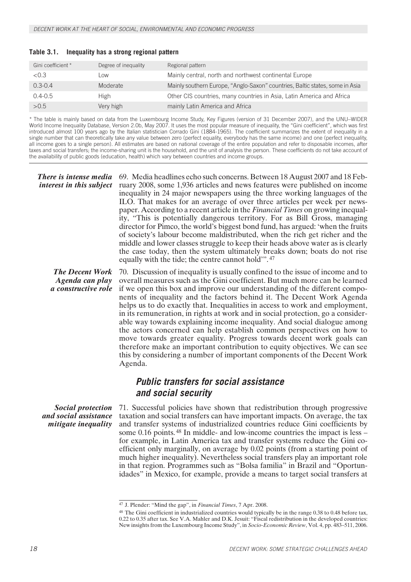| Gini coefficient * | Degree of inequality | Regional pattern                                                             |
|--------------------|----------------------|------------------------------------------------------------------------------|
| < 0.3              | Low                  | Mainly central, north and northwest continental Europe                       |
| $0.3 - 0.4$        | Moderate             | Mainly southern Europe, "Anglo-Saxon" countries, Baltic states, some in Asia |
| $0.4 - 0.5$        | High                 | Other CIS countries, many countries in Asia, Latin America and Africa        |
| >0.5               | Very high            | mainly Latin America and Africa                                              |

### **Table 3.1. Inequality has a strong regional pattern**

\* The table is mainly based on data from the Luxembourg Income Study, Key Figures (version of 31 December 2007), and the UNU–WIDER World Income Inequality Database, Version 2.0b, May 2007. It uses the most popular measure of inequality, the "Gini coefficient", which was first introduced almost 100 years ago by the Italian statistician Corrado Gini (1884-1965). The coefficient summarizes the extent of inequality in a single number that can theoretically take any value between zero (perfect equality, everybody has the same income) and one (perfect inequality, all income goes to a single person). All estimates are based on national coverage of the entire population and refer to disposable incomes, after taxes and social transfers; the income-sharing unit is the household, and the unit of analysis the person. These coefficients do not take account of the availability of public goods (education, health) which vary between countries and income groups.

*There is intense media* 69. Media headlines echo such concerns. Between 18 August 2007 and 18 Feb*interest in this subject* ruary 2008, some 1,936 articles and news features were published on income inequality in 24 major newspapers using the three working languages of the ILO. That makes for an average of over three articles per week per newspaper. According to a recent article in the *Financial Times* on growing inequality, "This is potentially dangerous territory. For as Bill Gross, managing director for Pimco, the world's biggest bond fund, has argued: 'when the fruits of society's labour become maldistributed, when the rich get richer and the middle and lower classes struggle to keep their heads above water as is clearly the case today, then the system ultimately breaks down; boats do not rise equally with the tide; the centre cannot hold".<sup>47</sup>

*The Decent Work Agenda can play a constructive role*

70. Discussion of inequality is usually confined to the issue of income and to overall measures such as the Gini coefficient. But much more can be learned if we open this box and improve our understanding of the different components of inequality and the factors behind it. The Decent Work Agenda helps us to do exactly that. Inequalities in access to work and employment, in its remuneration, in rights at work and in social protection, go a considerable way towards explaining income inequality. And social dialogue among the actors concerned can help establish common perspectives on how to move towards greater equality. Progress towards decent work goals can therefore make an important contribution to equity objectives. We can see this by considering a number of important components of the Decent Work Agenda.

### *Public transfers for social assistance and social security*

*Social protection and social assistance mitigate inequality*

71. Successful policies have shown that redistribution through progressive taxation and social transfers can have important impacts. On average, the tax and transfer systems of industrialized countries reduce Gini coefficients by some 0.16 points. 48 In middle- and low-income countries the impact is less – for example, in Latin America tax and transfer systems reduce the Gini coefficient only marginally, on average by 0.02 points (from a starting point of much higher inequality). Nevertheless social transfers play an important role in that region. Programmes such as "Bolsa familia" in Brazil and "Oportunidades" in Mexico, for example, provide a means to target social transfers at

<sup>47</sup> J. Plender: "Mind the gap", in *Financial Times*, 7 Apr. 2008.

<sup>&</sup>lt;sup>48</sup> The Gini coefficient in industrialized countries would typically be in the range 0.38 to 0.48 before tax, 0.22 to 0.35 after tax. See V.A. Mahler and D.K. Jesuit: "Fiscal redistribution in the developed countries: New insights from the Luxembourg Income Study", in *Socio-Economic Review*, Vol. 4, pp. 483–511, 2006.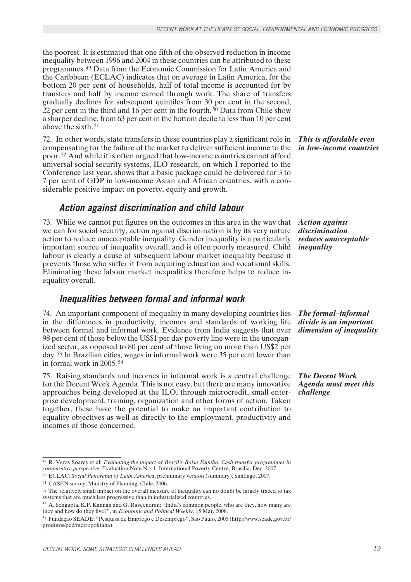the poorest. It is estimated that one fifth of the observed reduction in income inequality between 1996 and 2004 in these countries can be attributed to these programmes. 49 Data from the Economic Commission for Latin America and the Caribbean (ECLAC) indicates that on average in Latin America, for the bottom 20 per cent of households, half of total income is accounted for by transfers and half by income earned through work. The share of transfers gradually declines for subsequent quintiles from 30 per cent in the second, 22 per cent in the third and 16 per cent in the fourth.  $50$  Data from Chile show a sharper decline, from 63 per cent in the bottom decile to less than 10 per cent above the sixth. <sup>51</sup>

72. In other words, state transfers in these countries play a significant role in compensating for the failure of the market to deliver sufficient income to the poor. 52 And while it is often argued that low-income countries cannot afford universal social security systems, ILO research, on which I reported to the Conference last year, shows that a basic package could be delivered for 3 to 7 per cent of GDP in low-income Asian and African countries, with a considerable positive impact on poverty, equity and growth.

### *Action against discrimination and child labour*

73. While we cannot put figures on the outcomes in this area in the way that we can for social security, action against discrimination is by its very nature action to reduce unacceptable inequality. Gender inequality is a particularly important source of inequality overall, and is often poorly measured. Child labour is clearly a cause of subsequent labour market inequality because it prevents those who suffer it from acquiring education and vocational skills. Eliminating these labour market inequalities therefore helps to reduce inequality overall.

### *Inequalities between formal and informal work*

74. An important component of inequality in many developing countries lies in the differences in productivity, incomes and standards of working life between formal and informal work. Evidence from India suggests that over 98 per cent of those below the US\$1 per day poverty line were in the unorganized sector, as opposed to 80 per cent of those living on more than US\$2 per day. 53 In Brazilian cities, wages in informal work were 35 per cent lower than in formal work in 2005. <sup>54</sup>

75. Raising standards and incomes in informal work is a central challenge for the Decent Work Agenda. This is not easy, but there are many innovative approaches being developed at the ILO, through microcredit, small enterprise development, training, organization and other forms of action. Taken together, these have the potential to make an important contribution to equality objectives as well as directly to the employment, productivity and incomes of those concerned.

*This is affordable even in low-income countries*

*Action against discrimination reduces unacceptable inequality*

*The formal–informal divide is an important dimension of inequality*

*The Decent Work Agenda must meet this challenge*

<sup>49</sup> R. Veras Soares et al: *Evaluating the impact of Brazil's Bolsa Familia: Cash transfer programmes in comparative perspective*, Evaluation Note No. 1, International Poverty Centre, Brasilia, Dec. 2007.

<sup>50</sup> ECLAC: *Social Panorama of Latin America*, preliminary version (summary), Santiago, 2007.

<sup>51</sup> CASEN survey, Ministry of Planning, Chile, 2006.

<sup>52</sup> The relatively small impact on the overall measure of inequality can no doubt be largely traced to tax systems that are much less progressive than in industrialized countries.

<sup>53</sup> A. Sengupta, K.P. Kannan and G. Raveendran: "India's common people, who are they, how many are they and how do they live?", in *Economic and Political Weekly*, 15 Mar. 2008.

<sup>54</sup> Fundaçao SEADE: "Pesquisa de Emprego e Desemprego", Sao Paulo, 2005 (http://www.seade.gov.br/ produtos/ped/metropolitana).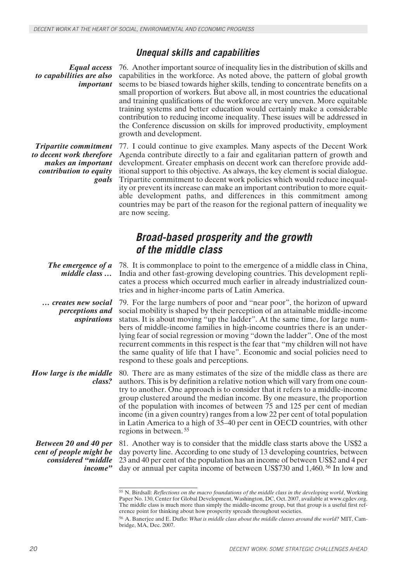### *Unequal skills and capabilities*

*Equal access to capabilities are also important*

76. Another important source of inequality lies in the distribution of skills and capabilities in the workforce. As noted above, the pattern of global growth seems to be biased towards higher skills, tending to concentrate benefits on a small proportion of workers. But above all, in most countries the educational and training qualifications of the workforce are very uneven. More equitable training systems and better education would certainly make a considerable contribution to reducing income inequality. These issues will be addressed in the Conference discussion on skills for improved productivity, employment growth and development.

*Tripartite commitment to decent work therefore makes an important contribution to equity goals* 77. I could continue to give examples. Many aspects of the Decent Work Agenda contribute directly to a fair and egalitarian pattern of growth and development. Greater emphasis on decent work can therefore provide additional support to this objective. As always, the key element is social dialogue. Tripartite commitment to decent work policies which would reduce inequality or prevent its increase can make an important contribution to more equitable development paths, and differences in this commitment among countries may be part of the reason for the regional pattern of inequality we are now seeing.

### *Broad-based prosperity and the growth of the middle class*

*The emergence of a middle class …* 78. It is commonplace to point to the emergence of a middle class in China, India and other fast-growing developing countries. This development replicates a process which occurred much earlier in already industrialized countries and in higher-income parts of Latin America.

*… creates new social perceptions and aspirations* 79. For the large numbers of poor and "near poor", the horizon of upward social mobility is shaped by their perception of an attainable middle-income status. It is about moving "up the ladder". At the same time, for large numbers of middle-income families in high-income countries there is an underlying fear of social regression or moving "down the ladder". One of the most recurrent comments in this respect is the fear that "my children will not have the same quality of life that I have". Economic and social policies need to respond to these goals and perceptions.

*How large is the middle class?* 80. There are as many estimates of the size of the middle class as there are authors. This is by definition a relative notion which will vary from one country to another. One approach is to consider that it refers to a middle-income group clustered around the median income. By one measure, the proportion of the population with incomes of between 75 and 125 per cent of median income (in a given country) ranges from a low 22 per cent of total population in Latin America to a high of 35–40 per cent in OECD countries, with other regions in between. <sup>55</sup>

*Between 20 and 40 per cent of people might be considered "middle income"*

81. Another way is to consider that the middle class starts above the US\$2 a day poverty line. According to one study of 13 developing countries, between 23 and 40 per cent of the population has an income of between US\$2 and 4 per day or annual per capita income of between US\$730 and 1,460. 56 In low and

<sup>55</sup> N. Birdsall: *Reflections on the macro foundations of the middle class in the developing world*, Working Paper No. 130, Center for Global Development, Washington, DC, Oct. 2007, available at www.cgdev.org. The middle class is much more than simply the middle-income group, but that group is a useful first reference point for thinking about how prosperity spreads throughout societies.

<sup>56</sup> A. Banerjee and E. Duflo: *What is middle class about the middle classes around the world?* MIT, Cambridge, MA, Dec. 2007.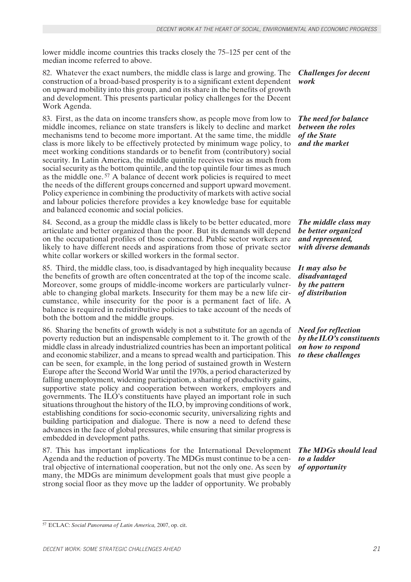lower middle income countries this tracks closely the 75–125 per cent of the median income referred to above.

82. Whatever the exact numbers, the middle class is large and growing. The construction of a broad-based prosperity is to a significant extent dependent on upward mobility into this group, and on its share in the benefits of growth and development. This presents particular policy challenges for the Decent Work Agenda.

83. First, as the data on income transfers show, as people move from low to middle incomes, reliance on state transfers is likely to decline and market mechanisms tend to become more important. At the same time, the middle class is more likely to be effectively protected by minimum wage policy, to meet working conditions standards or to benefit from (contributory) social security. In Latin America, the middle quintile receives twice as much from social security as the bottom quintile, and the top quintile four times as much as the middle one. 57 A balance of decent work policies is required to meet the needs of the different groups concerned and support upward movement. Policy experience in combining the productivity of markets with active social and labour policies therefore provides a key knowledge base for equitable and balanced economic and social policies.

84. Second, as a group the middle class is likely to be better educated, more articulate and better organized than the poor. But its demands will depend on the occupational profiles of those concerned. Public sector workers are likely to have different needs and aspirations from those of private sector white collar workers or skilled workers in the formal sector.

85. Third, the middle class, too, is disadvantaged by high inequality because the benefits of growth are often concentrated at the top of the income scale. Moreover, some groups of middle-income workers are particularly vulnerable to changing global markets. Insecurity for them may be a new life circumstance, while insecurity for the poor is a permanent fact of life. A balance is required in redistributive policies to take account of the needs of both the bottom and the middle groups.

86. Sharing the benefits of growth widely is not a substitute for an agenda of poverty reduction but an indispensable complement to it. The growth of the middle class in already industrialized countries has been an important political and economic stabilizer, and a means to spread wealth and participation. This can be seen, for example, in the long period of sustained growth in Western Europe after the Second World War until the 1970s, a period characterized by falling unemployment, widening participation, a sharing of productivity gains, supportive state policy and cooperation between workers, employers and governments. The ILO's constituents have played an important role in such situations throughout the history of the ILO, by improving conditions of work, establishing conditions for socio-economic security, universalizing rights and building participation and dialogue. There is now a need to defend these advances in the face of global pressures, while ensuring that similar progress is embedded in development paths.

87. This has important implications for the International Development Agenda and the reduction of poverty. The MDGs must continue to be a central objective of international cooperation, but not the only one. As seen by many, the MDGs are minimum development goals that must give people a strong social floor as they move up the ladder of opportunity. We probably

*Challenges for decent work*

*The need for balance between the roles of the State and the market*

*The middle class may be better organized and represented, with diverse demands*

*It may also be disadvantaged by the pattern of distribution*

*Need for reflection by the ILO's constituents on how to respond to these challenges*

*The MDGs should lead to a ladder of opportunity*

<sup>57</sup> ECLAC: *Social Panorama of Latin America,* 2007, op. cit.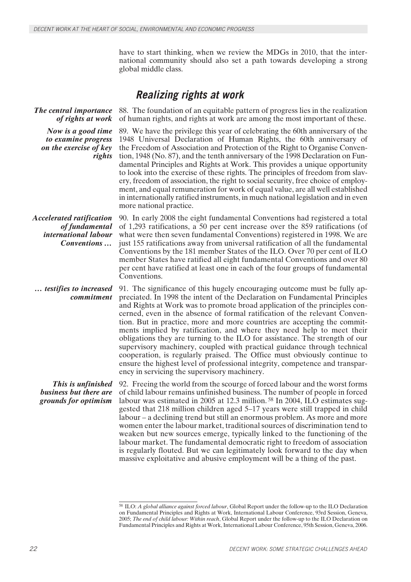have to start thinking, when we review the MDGs in 2010, that the international community should also set a path towards developing a strong global middle class.

### *Realizing rights at work*

*The central importance of rights at work* 88. The foundation of an equitable pattern of progress lies in the realization of human rights, and rights at work are among the most important of these. *Now is a good time to examine progress on the exercise of key rights* 89. We have the privilege this year of celebrating the 60th anniversary of the 1948 Universal Declaration of Human Rights, the 60th anniversary of the Freedom of Association and Protection of the Right to Organise Convention, 1948 (No. 87), and the tenth anniversary of the 1998 Declaration on Fundamental Principles and Rights at Work. This provides a unique opportunity to look into the exercise of these rights. The principles of freedom from slavery, freedom of association, the right to social security, free choice of employment, and equal remuneration for work of equal value, are all well established in internationally ratified instruments, in much national legislation and in even more national practice. *Accelerated ratification of fundamental international labour Conventions …* 90. In early 2008 the eight fundamental Conventions had registered a total of 1,293 ratifications, a 50 per cent increase over the 859 ratifications (of what were then seven fundamental Conventions) registered in 1998. We are just 155 ratifications away from universal ratification of all the fundamental Conventions by the 181 member States of the ILO. Over 70 per cent of ILO member States have ratified all eight fundamental Conventions and over 80 per cent have ratified at least one in each of the four groups of fundamental Conventions. *… testifies to increased commitment* 91. The significance of this hugely encouraging outcome must be fully appreciated. In 1998 the intent of the Declaration on Fundamental Principles and Rights at Work was to promote broad application of the principles concerned, even in the absence of formal ratification of the relevant Convention. But in practice, more and more countries are accepting the commitments implied by ratification, and where they need help to meet their obligations they are turning to the ILO for assistance. The strength of our supervisory machinery, coupled with practical guidance through technical cooperation, is regularly praised. The Office must obviously continue to ensure the highest level of professional integrity, competence and transparency in servicing the supervisory machinery. *This is unfinished business but there are grounds for optimism* 92. Freeing the world from the scourge of forced labour and the worst forms of child labour remains unfinished business. The number of people in forced labour was estimated in 2005 at 12.3 million. 58 In 2004, ILO estimates suggested that 218 million children aged 5–17 years were still trapped in child labour – a declining trend but still an enormous problem. As more and more women enter the labour market, traditional sources of discrimination tend to weaken but new sources emerge, typically linked to the functioning of the

labour market. The fundamental democratic right to freedom of association is regularly flouted. But we can legitimately look forward to the day when massive exploitative and abusive employment will be a thing of the past.

<sup>58</sup> ILO: *A global alliance against forced labour*, Global Report under the follow-up to the ILO Declaration on Fundamental Principles and Rights at Work, International Labour Conference, 93rd Session, Geneva, 2005; *The end of child labour: Within reach*, Global Report under the follow-up to the ILO Declaration on Fundamental Principles and Rights at Work, International Labour Conference, 95th Session, Geneva, 2006.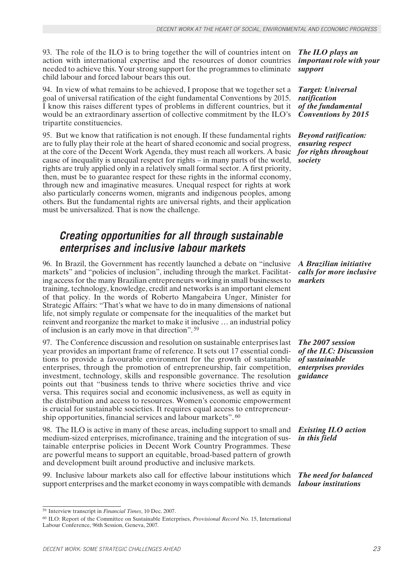93. The role of the ILO is to bring together the will of countries intent on action with international expertise and the resources of donor countries needed to achieve this. Your strong support for the programmes to eliminate child labour and forced labour bears this out.

94. In view of what remains to be achieved, I propose that we together set a goal of universal ratification of the eight fundamental Conventions by 2015. I know this raises different types of problems in different countries, but it would be an extraordinary assertion of collective commitment by the ILO's tripartite constituencies.

95. But we know that ratification is not enough. If these fundamental rights are to fully play their role at the heart of shared economic and social progress, at the core of the Decent Work Agenda, they must reach all workers. A basic cause of inequality is unequal respect for rights – in many parts of the world, rights are truly applied only in a relatively small formal sector. A first priority, then, must be to guarantee respect for these rights in the informal economy, through new and imaginative measures. Unequal respect for rights at work also particularly concerns women, migrants and indigenous peoples, among others. But the fundamental rights are universal rights, and their application must be universalized. That is now the challenge.

### *Creating opportunities for all through sustainable enterprises and inclusive labour markets*

96. In Brazil, the Government has recently launched a debate on "inclusive markets" and "policies of inclusion", including through the market. Facilitating access for the many Brazilian entrepreneurs working in small businesses to training, technology, knowledge, credit and networks is an important element of that policy. In the words of Roberto Mangabeira Unger, Minister for Strategic Affairs: "That's what we have to do in many dimensions of national life, not simply regulate or compensate for the inequalities of the market but reinvent and reorganize the market to make it inclusive … an industrial policy of inclusion is an early move in that direction". <sup>59</sup>

97. The Conference discussion and resolution on sustainable enterprises last year provides an important frame of reference. It sets out 17 essential conditions to provide a favourable environment for the growth of sustainable enterprises, through the promotion of entrepreneurship, fair competition, investment, technology, skills and responsible governance. The resolution points out that "business tends to thrive where societies thrive and vice versa. This requires social and economic inclusiveness, as well as equity in the distribution and access to resources. Women's economic empowerment is crucial for sustainable societies. It requires equal access to entrepreneurship opportunities, financial services and labour markets". <sup>60</sup>

98. The ILO is active in many of these areas, including support to small and medium-sized enterprises, microfinance, training and the integration of sustainable enterprise policies in Decent Work Country Programmes. These are powerful means to support an equitable, broad-based pattern of growth and development built around productive and inclusive markets.

99. Inclusive labour markets also call for effective labour institutions which support enterprises and the market economy in ways compatible with demands

*The ILO plays an important role with your support*

*Target: Universal ratification of the fundamental Conventions by 2015*

*Beyond ratification: ensuring respect for rights throughout society*

*A Brazilian initiative calls for more inclusive markets*

*The 2007 session of the ILC: Discussion of sustainable enterprises provides guidance*

*Existing ILO action in this field*

*The need for balanced labour institutions*

<sup>59</sup> Interview transcript in *Financial Times*, 10 Dec. 2007.

<sup>60</sup> ILO: Report of the Committee on Sustainable Enterprises, *Provisional Record* No. 15, International Labour Conference, 96th Session, Geneva, 2007.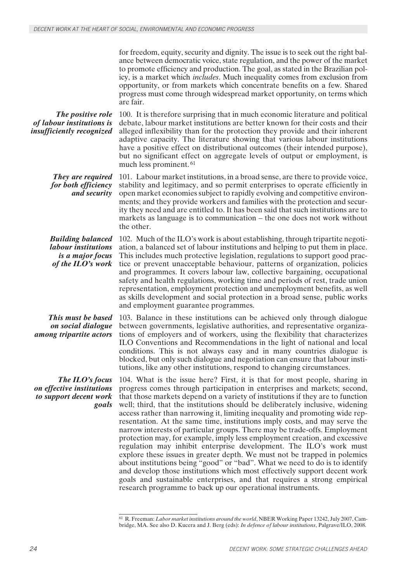for freedom, equity, security and dignity. The issue is to seek out the right balance between democratic voice, state regulation, and the power of the market to promote efficiency and production. The goal, as stated in the Brazilian policy, is a market which *includes*. Much inequality comes from exclusion from opportunity, or from markets which concentrate benefits on a few. Shared progress must come through widespread market opportunity, on terms which are fair.

*The positive role of labour institutions is insufficiently recognized* 100. It is therefore surprising that in much economic literature and political debate, labour market institutions are better known for their costs and their alleged inflexibility than for the protection they provide and their inherent adaptive capacity. The literature showing that various labour institutions have a positive effect on distributional outcomes (their intended purpose), but no significant effect on aggregate levels of output or employment, is much less prominent. <sup>61</sup>

*They are required for both efficiency and security* 101. Labour market institutions, in a broad sense, are there to provide voice, stability and legitimacy, and so permit enterprises to operate efficiently in open market economies subject to rapidly evolving and competitive environments; and they provide workers and families with the protection and security they need and are entitled to. It has been said that such institutions are to markets as language is to communication – the one does not work without the other.

*Building balanced labour institutions is a major focus of the ILO's work* 102. Much of the ILO's work is about establishing, through tripartite negotiation, a balanced set of labour institutions and helping to put them in place. This includes much protective legislation, regulations to support good practice or prevent unacceptable behaviour, patterns of organization, policies and programmes. It covers labour law, collective bargaining, occupational safety and health regulations, working time and periods of rest, trade union representation, employment protection and unemployment benefits, as well as skills development and social protection in a broad sense, public works and employment guarantee programmes.

*This must be based on social dialogue among tripartite actors*

*The ILO's focus on effective institutions to support decent work goals* 103. Balance in these institutions can be achieved only through dialogue between governments, legislative authorities, and representative organizations of employers and of workers, using the flexibility that characterizes ILO Conventions and Recommendations in the light of national and local conditions. This is not always easy and in many countries dialogue is blocked, but only such dialogue and negotiation can ensure that labour institutions, like any other institutions, respond to changing circumstances.

104. What is the issue here? First, it is that for most people, sharing in progress comes through participation in enterprises and markets; second, that those markets depend on a variety of institutions if they are to function well; third, that the institutions should be deliberately inclusive, widening access rather than narrowing it, limiting inequality and promoting wide representation. At the same time, institutions imply costs, and may serve the narrow interests of particular groups. There may be trade-offs. Employment protection may, for example, imply less employment creation, and excessive regulation may inhibit enterprise development. The ILO's work must explore these issues in greater depth. We must not be trapped in polemics about institutions being "good" or "bad". What we need to do is to identify and develop those institutions which most effectively support decent work goals and sustainable enterprises, and that requires a strong empirical research programme to back up our operational instruments.

<sup>61</sup> R. Freeman: *Labor market institutions around the world*, NBER Working Paper 13242, July 2007, Cambridge, MA. See also D. Kucera and J. Berg (eds): *In defence of labour institutions*, Palgrave/ILO, 2008.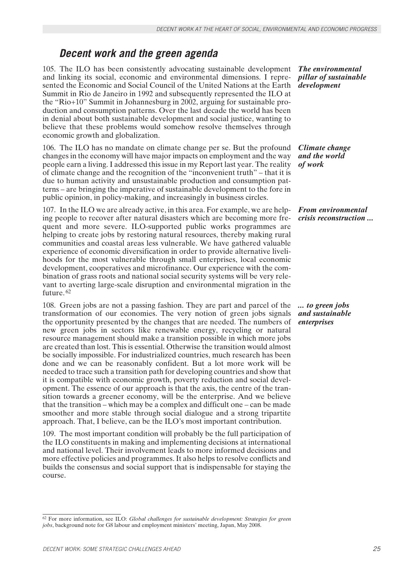### *Decent work and the green agenda*

105. The ILO has been consistently advocating sustainable development and linking its social, economic and environmental dimensions. I represented the Economic and Social Council of the United Nations at the Earth Summit in Rio de Janeiro in 1992 and subsequently represented the ILO at the "Rio+10" Summit in Johannesburg in 2002, arguing for sustainable production and consumption patterns. Over the last decade the world has been in denial about both sustainable development and social justice, wanting to believe that these problems would somehow resolve themselves through economic growth and globalization.

106. The ILO has no mandate on climate change per se. But the profound changes in the economy will have major impacts on employment and the way people earn a living. I addressed this issue in my Report last year. The reality of climate change and the recognition of the "inconvenient truth" – that it is due to human activity and unsustainable production and consumption patterns – are bringing the imperative of sustainable development to the fore in public opinion, in policy-making, and increasingly in business circles.

107. In the ILO we are already active, in this area. For example, we are helping people to recover after natural disasters which are becoming more frequent and more severe. ILO-supported public works programmes are helping to create jobs by restoring natural resources, thereby making rural communities and coastal areas less vulnerable. We have gathered valuable experience of economic diversification in order to provide alternative livelihoods for the most vulnerable through small enterprises, local economic development, cooperatives and microfinance. Our experience with the combination of grass roots and national social security systems will be very relevant to averting large-scale disruption and environmental migration in the future. <sup>62</sup>

108. Green jobs are not a passing fashion. They are part and parcel of the transformation of our economies. The very notion of green jobs signals the opportunity presented by the changes that are needed. The numbers of new green jobs in sectors like renewable energy, recycling or natural resource management should make a transition possible in which more jobs are created than lost. This is essential. Otherwise the transition would almost be socially impossible. For industrialized countries, much research has been done and we can be reasonably confident. But a lot more work will be needed to trace such a transition path for developing countries and show that it is compatible with economic growth, poverty reduction and social development. The essence of our approach is that the axis, the centre of the transition towards a greener economy, will be the enterprise. And we believe that the transition – which may be a complex and difficult one – can be made smoother and more stable through social dialogue and a strong tripartite approach. That, I believe, can be the ILO's most important contribution.

109. The most important condition will probably be the full participation of the ILO constituents in making and implementing decisions at international and national level. Their involvement leads to more informed decisions and more effective policies and programmes. It also helps to resolve conflicts and builds the consensus and social support that is indispensable for staying the course.

*The environmental pillar of sustainable development*

*Climate change and the world of work*

*From environmental crisis reconstruction ...*

*... to green jobs and sustainable enterprises*

<sup>62</sup> For more information, see ILO: *Global challenges for sustainable development: Strategies for green jobs*, background note for G8 labour and employment ministers' meeting, Japan, May 2008.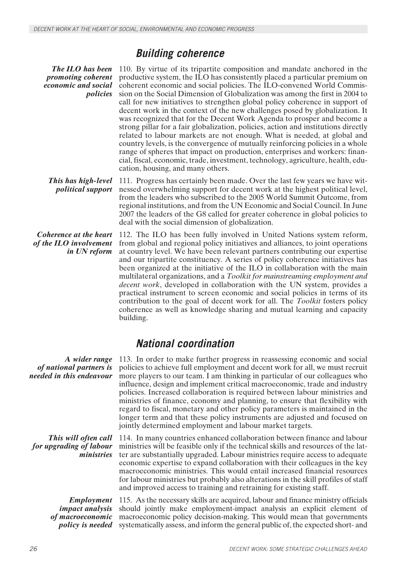### *Building coherence*

*The ILO has been promoting coherent economic and social policies*

110. By virtue of its tripartite composition and mandate anchored in the productive system, the ILO has consistently placed a particular premium on coherent economic and social policies. The ILO-convened World Commission on the Social Dimension of Globalization was among the first in 2004 to call for new initiatives to strengthen global policy coherence in support of decent work in the context of the new challenges posed by globalization. It was recognized that for the Decent Work Agenda to prosper and become a strong pillar for a fair globalization, policies, action and institutions directly related to labour markets are not enough. What is needed, at global and country levels, is the convergence of mutually reinforcing policies in a whole range of spheres that impact on production, enterprises and workers: financial, fiscal, economic, trade, investment, technology, agriculture, health, education, housing, and many others.

*This has high-level political support* 111. Progress has certainly been made. Over the last few years we have witnessed overwhelming support for decent work at the highest political level, from the leaders who subscribed to the 2005 World Summit Outcome, from regional institutions, and from the UN Economic and Social Council. In June 2007 the leaders of the G8 called for greater coherence in global policies to deal with the social dimension of globalization.

*Coherence at the heart of the ILO involvement in UN reform* 112. The ILO has been fully involved in United Nations system reform, from global and regional policy initiatives and alliances, to joint operations at country level. We have been relevant partners contributing our expertise and our tripartite constituency. A series of policy coherence initiatives has been organized at the initiative of the ILO in collaboration with the main multilateral organizations, and a *Toolkit for mainstreaming employment and decent work*, developed in collaboration with the UN system, provides a practical instrument to screen economic and social policies in terms of its contribution to the goal of decent work for all. The *Toolkit* fosters policy coherence as well as knowledge sharing and mutual learning and capacity building.

### *National coordination*

*of national partners is needed in this endeavour*

*This will often call for upgrading of labour ministries*

*A wider range* 113. In order to make further progress in reassessing economic and social policies to achieve full employment and decent work for all, we must recruit more players to our team. I am thinking in particular of our colleagues who influence, design and implement critical macroeconomic, trade and industry policies. Increased collaboration is required between labour ministries and ministries of finance, economy and planning, to ensure that flexibility with regard to fiscal, monetary and other policy parameters is maintained in the longer term and that these policy instruments are adjusted and focused on jointly determined employment and labour market targets.

> 114. In many countries enhanced collaboration between finance and labour ministries will be feasible only if the technical skills and resources of the latter are substantially upgraded. Labour ministries require access to adequate economic expertise to expand collaboration with their colleagues in the key macroeconomic ministries. This would entail increased financial resources for labour ministries but probably also alterations in the skill profiles of staff and improved access to training and retraining for existing staff.

*Employment impact analysis of macroeconomic policy is needed*

115. As the necessary skills are acquired, labour and finance ministry officials should jointly make employment-impact analysis an explicit element of macroeconomic policy decision-making. This would mean that governments systematically assess, and inform the general public of, the expected short- and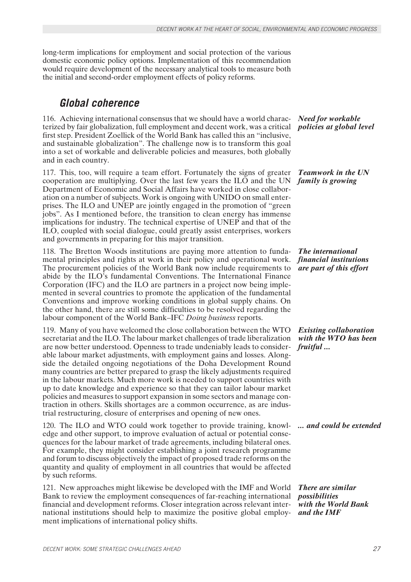long-term implications for employment and social protection of the various domestic economic policy options. Implementation of this recommendation would require development of the necessary analytical tools to measure both the initial and second-order employment effects of policy reforms.

### *Global coherence*

terized by fair globalization, full employment and decent work, was a critical *policies at global level* 116. Achieving international consensus that we should have a world characfirst step. President Zoellick of the World Bank has called this an "inclusive, and sustainable globalization". The challenge now is to transform this goal into a set of workable and deliverable policies and measures, both globally and in each country.

117. This, too, will require a team effort. Fortunately the signs of greater cooperation are multiplying. Over the last few years the ILO and the UN Department of Economic and Social Affairs have worked in close collaboration on a number of subjects. Work is ongoing with UNIDO on small enterprises. The ILO and UNEP are jointly engaged in the promotion of "green jobs". As I mentioned before, the transition to clean energy has immense implications for industry. The technical expertise of UNEP and that of the ILO, coupled with social dialogue, could greatly assist enterprises, workers and governments in preparing for this major transition.

118. The Bretton Woods institutions are paying more attention to fundamental principles and rights at work in their policy and operational work. The procurement policies of the World Bank now include requirements to abide by the ILO's fundamental Conventions. The International Finance Corporation (IFC) and the ILO are partners in a project now being implemented in several countries to promote the application of the fundamental Conventions and improve working conditions in global supply chains. On the other hand, there are still some difficulties to be resolved regarding the labour component of the World Bank–IFC *Doing business* reports.

119. Many of you have welcomed the close collaboration between the WTO secretariat and the ILO. The labour market challenges of trade liberalization are now better understood. Openness to trade undeniably leads to considerable labour market adjustments, with employment gains and losses. Alongside the detailed ongoing negotiations of the Doha Development Round many countries are better prepared to grasp the likely adjustments required in the labour markets. Much more work is needed to support countries with up to date knowledge and experience so that they can tailor labour market policies and measures to support expansion in some sectors and manage contraction in others. Skills shortages are a common occurrence, as are industrial restructuring, closure of enterprises and opening of new ones.

120. The ILO and WTO could work together to provide training, knowl- *... and could be extended* edge and other support, to improve evaluation of actual or potential consequences for the labour market of trade agreements, including bilateral ones. For example, they might consider establishing a joint research programme and forum to discuss objectively the impact of proposed trade reforms on the quantity and quality of employment in all countries that would be affected by such reforms.

121. New approaches might likewise be developed with the IMF and World Bank to review the employment consequences of far-reaching international financial and development reforms. Closer integration across relevant international institutions should help to maximize the positive global employment implications of international policy shifts.

*Need for workable* 

*Teamwork in the UN family is growing*

*The international financial institutions are part of this effort*

*Existing collaboration with the WTO has been fruitful ...*

*There are similar possibilities with the World Bank and the IMF*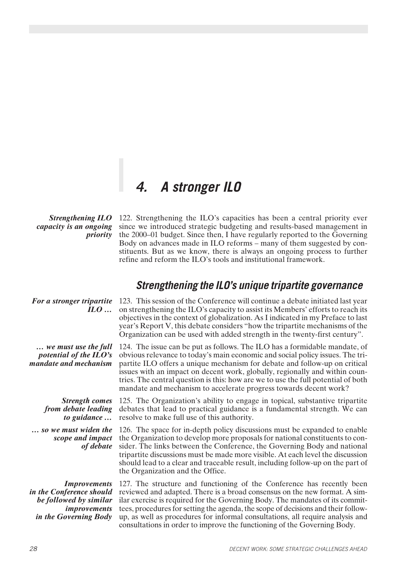## *4. A stronger ILO*

*Strengthening ILO capacity is an ongoing priority*

122. Strengthening the ILO's capacities has been a central priority ever since we introduced strategic budgeting and results-based management in the 2000–01 budget. Since then, I have regularly reported to the Governing Body on advances made in ILO reforms – many of them suggested by constituents. But as we know, there is always an ongoing process to further refine and reform the ILO's tools and institutional framework.

### *Strengthening the ILO's unique tripartite governance*

*For a stronger tripartite ILO …* 123. This session of the Conference will continue a debate initiated last year on strengthening the ILO's capacity to assist its Members' efforts to reach its objectives in the context of globalization. As I indicated in my Preface to last year's Report V, this debate considers "how the tripartite mechanisms of the Organization can be used with added strength in the twenty-first century".

*… we must use the full potential of the ILO's mandate and mechanism* 124. The issue can be put as follows. The ILO has a formidable mandate, of obvious relevance to today's main economic and social policy issues. The tripartite ILO offers a unique mechanism for debate and follow-up on critical issues with an impact on decent work, globally, regionally and within countries. The central question is this: how are we to use the full potential of both mandate and mechanism to accelerate progress towards decent work?

*Strength comes from debate leading to guidance …*

*… so we must widen the scope and impact of debate*

*Improvements in the Conference should be followed by similar improvements in the Governing Body*

125. The Organization's ability to engage in topical, substantive tripartite debates that lead to practical guidance is a fundamental strength. We can resolve to make full use of this authority.

126. The space for in-depth policy discussions must be expanded to enable the Organization to develop more proposals for national constituents to consider. The links between the Conference, the Governing Body and national tripartite discussions must be made more visible. At each level the discussion should lead to a clear and traceable result, including follow-up on the part of the Organization and the Office.

127. The structure and functioning of the Conference has recently been reviewed and adapted. There is a broad consensus on the new format. A similar exercise is required for the Governing Body. The mandates of its committees, procedures for setting the agenda, the scope of decisions and their followup, as well as procedures for informal consultations, all require analysis and consultations in order to improve the functioning of the Governing Body.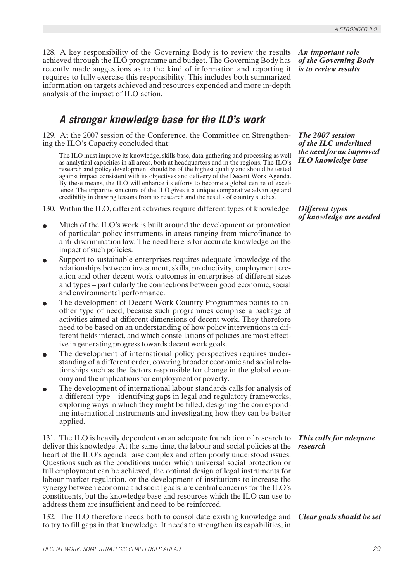128. A key responsibility of the Governing Body is to review the results achieved through the ILO programme and budget. The Governing Body has recently made suggestions as to the kind of information and reporting it requires to fully exercise this responsibility. This includes both summarized information on targets achieved and resources expended and more in-depth analysis of the impact of ILO action.

### *A stronger knowledge base for the ILO's work*

129. At the 2007 session of the Conference, the Committee on Strengthening the ILO's Capacity concluded that:

The ILO must improve its knowledge, skills base, data-gathering and processing as well as analytical capacities in all areas, both at headquarters and in the regions. The ILO's research and policy development should be of the highest quality and should be tested against impact consistent with its objectives and delivery of the Decent Work Agenda. By these means, the ILO will enhance its efforts to become a global centre of excellence. The tripartite structure of the ILO gives it a unique comparative advantage and credibility in drawing lessons from its research and the results of country studies.

- 130. Within the ILO, different activities require different types of knowledge.
- Much of the ILO's work is built around the development or promotion of particular policy instruments in areas ranging from microfinance to anti-discrimination law. The need here is for accurate knowledge on the impact of such policies.
- Support to sustainable enterprises requires adequate knowledge of the relationships between investment, skills, productivity, employment creation and other decent work outcomes in enterprises of different sizes and types – particularly the connections between good economic, social and environmental performance.
- The development of Decent Work Country Programmes points to another type of need, because such programmes comprise a package of activities aimed at different dimensions of decent work. They therefore need to be based on an understanding of how policy interventions in different fields interact, and which constellations of policies are most effective in generating progress towards decent work goals.
- The development of international policy perspectives requires understanding of a different order, covering broader economic and social relationships such as the factors responsible for change in the global economy and the implications for employment or poverty.
- The development of international labour standards calls for analysis of a different type – identifying gaps in legal and regulatory frameworks, exploring ways in which they might be filled, designing the corresponding international instruments and investigating how they can be better applied.

131. The ILO is heavily dependent on an adequate foundation of research to deliver this knowledge. At the same time, the labour and social policies at the heart of the ILO's agenda raise complex and often poorly understood issues. Questions such as the conditions under which universal social protection or full employment can be achieved, the optimal design of legal instruments for labour market regulation, or the development of institutions to increase the synergy between economic and social goals, are central concerns for the ILO's constituents, but the knowledge base and resources which the ILO can use to address them are insufficient and need to be reinforced.

132. The ILO therefore needs both to consolidate existing knowledge and *Clear goals should be set* to try to fill gaps in that knowledge. It needs to strengthen its capabilities, in

*An important role of the Governing Body is to review results*

*The 2007 session of the ILC underlined the need for an improved ILO knowledge base*

*Different types of knowledge are needed*

*This calls for adequate research*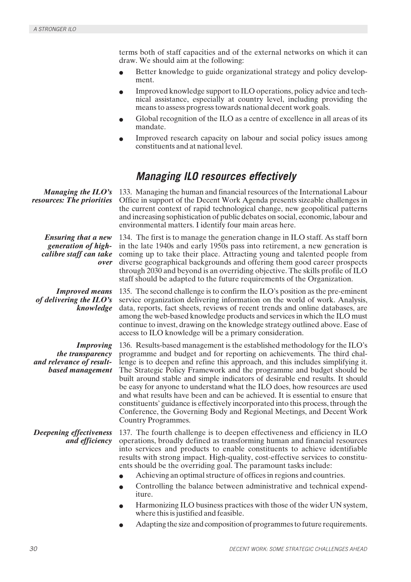terms both of staff capacities and of the external networks on which it can draw. We should aim at the following:

- Better knowledge to guide organizational strategy and policy development.
- Improved knowledge support to ILO operations, policy advice and technical assistance, especially at country level, including providing the means to assess progress towards national decent work goals.
- Global recognition of the ILO as a centre of excellence in all areas of its mandate.
- Improved research capacity on labour and social policy issues among constituents and at national level.

### *Managing ILO resources effectively*

| Managing the $ILO's$<br>resources: The priorities                                    | 133. Managing the human and financial resources of the International Labour<br>Office in support of the Decent Work Agenda presents sizeable challenges in<br>the current context of rapid technological change, new geopolitical patterns<br>and increasing sophistication of public debates on social, economic, labour and<br>environmental matters. I identify four main areas here.                                                                                                                                                                                                                                                                                                                                                               |
|--------------------------------------------------------------------------------------|--------------------------------------------------------------------------------------------------------------------------------------------------------------------------------------------------------------------------------------------------------------------------------------------------------------------------------------------------------------------------------------------------------------------------------------------------------------------------------------------------------------------------------------------------------------------------------------------------------------------------------------------------------------------------------------------------------------------------------------------------------|
| <b>Ensuring that a new</b><br>generation of high-<br>calibre staff can take<br>over  | 134. The first is to manage the generation change in ILO staff. As staff born<br>in the late 1940s and early 1950s pass into retirement, a new generation is<br>coming up to take their place. Attracting young and talented people from<br>diverse geographical backgrounds and offering them good career prospects<br>through 2030 and beyond is an overriding objective. The skills profile of ILO<br>staff should be adapted to the future requirements of the Organization.                                                                                                                                                                                                                                                                       |
| <b>Improved means</b><br>of delivering the $ILO's$<br>knowledge                      | 135. The second challenge is to confirm the ILO's position as the pre-eminent<br>service organization delivering information on the world of work. Analysis,<br>data, reports, fact sheets, reviews of recent trends and online databases, are<br>among the web-based knowledge products and services in which the ILO must<br>continue to invest, drawing on the knowledge strategy outlined above. Ease of<br>access to ILO knowledge will be a primary consideration.                                                                                                                                                                                                                                                                               |
| <b>Improving</b><br>the transparency<br>and relevance of result-<br>based management | 136. Results-based management is the established methodology for the ILO's<br>programme and budget and for reporting on achievements. The third chal-<br>lenge is to deepen and refine this approach, and this includes simplifying it.<br>The Strategic Policy Framework and the programme and budget should be<br>built around stable and simple indicators of desirable end results. It should<br>be easy for anyone to understand what the ILO does, how resources are used<br>and what results have been and can be achieved. It is essential to ensure that<br>constituents' guidance is effectively incorporated into this process, through the<br>Conference, the Governing Body and Regional Meetings, and Decent Work<br>Country Programmes. |
| <b>Deepening effectiveness</b><br>and efficiency                                     | 137. The fourth challenge is to deepen effectiveness and efficiency in ILO<br>operations, broadly defined as transforming human and financial resources<br>into services and products to enable constituents to achieve identifiable<br>results with strong impact. High-quality, cost-effective services to constitu-<br>ents should be the overriding goal. The paramount tasks include:<br>Achieving an optimal structure of offices in regions and countries.<br>Controlling the balance between administrative and technical expend-<br>iture.<br>Harmonizing ILO business practices with those of the wider UN system,<br>where this is justified and feasible.<br>Adapting the size and composition of programmes to future requirements.       |
|                                                                                      |                                                                                                                                                                                                                                                                                                                                                                                                                                                                                                                                                                                                                                                                                                                                                        |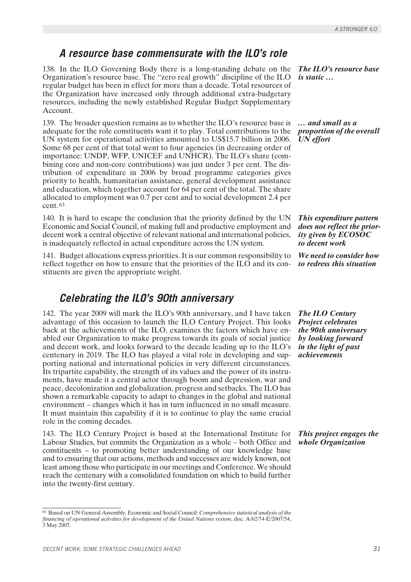### *A resource base commensurate with the ILO's role*

138. In the ILO Governing Body there is a long-standing debate on the Organization's resource base. The "zero real growth" discipline of the ILO regular budget has been in effect for more than a decade. Total resources of the Organization have increased only through additional extra-budgetary resources, including the newly established Regular Budget Supplementary Account.

139. The broader question remains as to whether the ILO's resource base is adequate for the role constituents want it to play. Total contributions to the UN system for operational activities amounted to US\$15.7 billion in 2006. Some 68 per cent of that total went to four agencies (in decreasing order of importance: UNDP, WFP, UNICEF and UNHCR). The ILO's share (combining core and non-core contributions) was just under 3 per cent. The distribution of expenditure in 2006 by broad programme categories gives priority to health, humanitarian assistance, general development assistance and education, which together account for 64 per cent of the total. The share allocated to employment was 0.7 per cent and to social development 2.4 per cent. <sup>63</sup>

140. It is hard to escape the conclusion that the priority defined by the UN Economic and Social Council, of making full and productive employment and decent work a central objective of relevant national and international policies, is inadequately reflected in actual expenditure across the UN system.

141. Budget allocations express priorities. It is our common responsibility to reflect together on how to ensure that the priorities of the ILO and its constituents are given the appropriate weight.

### *Celebrating the ILO's 90th anniversary*

142. The year 2009 will mark the ILO's 90th anniversary, and I have taken advantage of this occasion to launch the ILO Century Project. This looks back at the achievements of the ILO, examines the factors which have enabled our Organization to make progress towards its goals of social justice and decent work, and looks forward to the decade leading up to the ILO's centenary in 2019. The ILO has played a vital role in developing and supporting national and international policies in very different circumstances. Its tripartite capability, the strength of its values and the power of its instruments, have made it a central actor through boom and depression, war and peace, decolonization and globalization, progress and setbacks. The ILO has shown a remarkable capacity to adapt to changes in the global and national environment – changes which it has in turn influenced in no small measure. It must maintain this capability if it is to continue to play the same crucial role in the coming decades.

143. The ILO Century Project is based at the International Institute for Labour Studies, but commits the Organization as a whole – both Office and constituents – to promoting better understanding of our knowledge base and to ensuring that our actions, methods and successes are widely known, not least among those who participate in our meetings and Conference. We should reach the centenary with a consolidated foundation on which to build further into the twenty-first century.

*The ILO's resource base is static …*

*… and small as a proportion of the overall UN effort*

*This expenditure pattern does not reflect the priority given by ECOSOC to decent work*

*We need to consider how to redress this situation*

*The ILO Century Project celebrates the 90th anniversary by looking forward in the light of past achievements*

*This project engages the whole Organization*

<sup>63</sup> Based on UN General Assembly, Economic and Social Council: *Comprehensive statistical analysis of the financing of operational activities for development of the United Nations system*, doc. A/62/74-E/2007/54, 3 May 2007.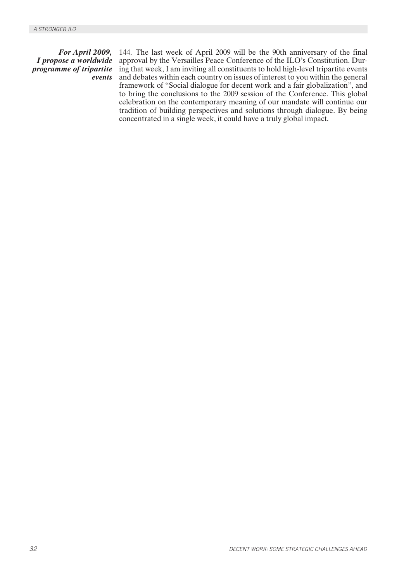*For April 2009, I propose a worldwide programme of tripartite events* 144. The last week of April 2009 will be the 90th anniversary of the final approval by the Versailles Peace Conference of the ILO's Constitution. During that week, I am inviting all constituents to hold high-level tripartite events and debates within each country on issues of interest to you within the general framework of "Social dialogue for decent work and a fair globalization", and to bring the conclusions to the 2009 session of the Conference. This global celebration on the contemporary meaning of our mandate will continue our tradition of building perspectives and solutions through dialogue. By being concentrated in a single week, it could have a truly global impact.